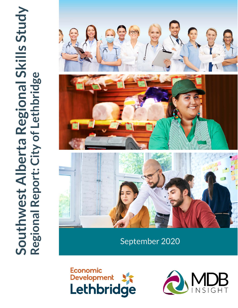

September 2020



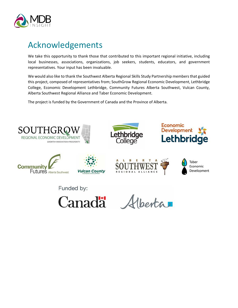

# <span id="page-1-0"></span>Acknowledgements

We take this opportunity to thank those that contributed to this important regional initiative, including local businesses, associations, organizations, job seekers, students, educators, and government representatives. Your input has been invaluable.

We would also like to thank the Southwest Alberta Regional Skills Study Partnership members that guided this project, composed of representatives from; SouthGrow Regional Economic Development, Lethbridge College, Economic Development Lethbridge, Community Futures Alberta Southwest, Vulcan County, Alberta Southwest Regional Alliance and Taber Economic Development.

The project is funded by the Government of Canada and the Province of Alberta.

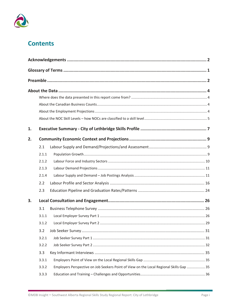

## **Contents**

| 1. |       |                                                                                         |  |  |  |
|----|-------|-----------------------------------------------------------------------------------------|--|--|--|
| 2. |       |                                                                                         |  |  |  |
|    | 2.1   |                                                                                         |  |  |  |
|    | 2.1.1 |                                                                                         |  |  |  |
|    | 2.1.2 |                                                                                         |  |  |  |
|    | 2.1.3 |                                                                                         |  |  |  |
|    | 2.1.4 |                                                                                         |  |  |  |
|    | 2.2   |                                                                                         |  |  |  |
|    | 2.3   |                                                                                         |  |  |  |
| 3. |       |                                                                                         |  |  |  |
|    | 3.1   |                                                                                         |  |  |  |
|    | 3.1.1 |                                                                                         |  |  |  |
|    | 3.1.2 |                                                                                         |  |  |  |
|    |       |                                                                                         |  |  |  |
|    | 3.2.1 |                                                                                         |  |  |  |
|    | 3.2.2 |                                                                                         |  |  |  |
|    | 3.3   |                                                                                         |  |  |  |
|    | 3.3.1 |                                                                                         |  |  |  |
|    | 3.3.2 | Employers Perspective on Job Seekers Point of View on the Local Regional Skills Gap  35 |  |  |  |
|    | 3.3.3 |                                                                                         |  |  |  |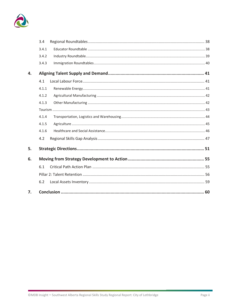

|    | 3.4   |  |
|----|-------|--|
|    | 3.4.1 |  |
|    | 3.4.2 |  |
|    | 3.4.3 |  |
| 4. |       |  |
|    | 4.1   |  |
|    | 4.1.1 |  |
|    | 4.1.2 |  |
|    | 4.1.3 |  |
|    |       |  |
|    | 4.1.4 |  |
|    | 4.1.5 |  |
|    | 4.1.6 |  |
|    | 4.2   |  |
| 5. |       |  |
| 6. |       |  |
|    | 6.1   |  |
|    |       |  |
|    | 6.2   |  |
| 7. |       |  |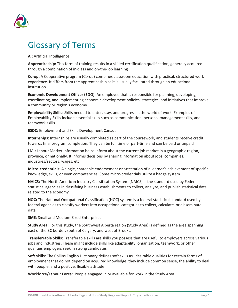

# <span id="page-4-0"></span>Glossary of Terms

**AI:** Artificial Intelligence

**Apprenticeship:** This form of training results in a skilled certification qualification, generally acquired through a combination of in-class and on-the-job learning

**Co-op:** A Cooperative program (Co-op) combines classroom education with practical, structured work experience. It differs from the apprenticeship as it is usually facilitated through an educational institution

**Economic Development Officer (EDO):** An employee that is responsible for planning, developing, coordinating, and implementing economic development policies, strategies, and initiatives that improve a community or region's economy

**Employability Skills:** Skills needed to enter, stay, and progress in the world of work. Examples of Employability Skills include essential skills such as communication, personal management skills, and teamwork skills

**ESDC:** Employment and Skills Development Canada

**Internships:** Internships are usually completed as part of the coursework, and students receive credit towards final program completion. They can be full time or part-time and can be paid or unpaid

**LMI:** Labour Market Information helps inform about the current job market in a geographic region, province, or nationally. It informs decisions by sharing information about jobs, companies, industries/sectors, wages, etc.

**Micro-credentials**: A single, shareable endorsement or attestation of a learner's achievement of specific knowledge, skills, or even competencies. Some micro-credentials utilize a badge system

**NAICS:** The North American Industry Classification System (NAICS) is the standard used by Federal statistical agencies in classifying business establishments to collect, analyze, and publish statistical data related to the economy

**NOC:** The National Occupational Classification (NOC) system is a federal statistical standard used by federal agencies to classify workers into occupational categories to collect, calculate, or disseminate data

**SME**: Small and Medium-Sized Enterprises

**Study Area:** For this study, the Southwest Alberta region (Study Area) is defined as the area spanning east of the BC border, south of Calgary, and west of Brooks.

**Transferrable Skills:** Transferable skills are skills you possess that are useful to employers across various jobs and industries. These might include skills like adaptability, organization, teamwork, or other qualities employers seek in strong candidates

**Soft skills:** The Collins English Dictionary defines soft skills as "desirable qualities for certain forms of employment that do not depend on acquired knowledge: they include common sense, the ability to deal with people, and a positive, flexible attitude

**Workforce/Labour Force:** People engaged in or available for work in the Study Area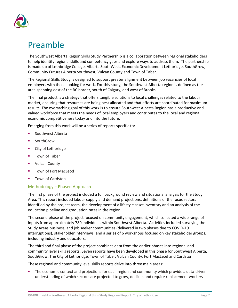

# <span id="page-5-0"></span>Preamble

The Southwest Alberta Region Skills Study Partnership is a collaboration between regional stakeholders to help identify regional skills and competency gaps and explore ways to address them. The partnership is made up of Lethbridge College, Alberta SouthWest, Economic Development Lethbridge, SouthGrow, Community Futures Alberta Southwest, Vulcan County and Town of Taber.

The Regional Skills Study is designed to support greater alignment between job vacancies of local employers with those looking for work. For this study, the Southwest Alberta region is defined as the area spanning east of the BC border, south of Calgary, and west of Brooks.

The final product is a strategy that offers tangible solutions to local challenges related to the labour market, ensuring that resources are being best allocated and that efforts are coordinated for maximum results. The overarching goal of this work is to ensure Southwest Alberta Region has a productive and valued workforce that meets the needs of local employers and contributes to the local and regional economic competitiveness today and into the future.

Emerging from this work will be a series of reports specific to:

- Southwest Alberta
- SouthGrow
- City of Lethbridge
- Town of Taber
- Vulcan County
- Town of Fort MacLeod
- Town of Cardston

#### Methodology – Phased Approach

The first phase of the project included a full background review and situational analysis for the Study Area. This report included labour supply and demand projections, definitions of the focus sectors identified by the project team, the development of a lifestyle asset inventory and an analysis of the education pipeline and graduation rates in the region.

The second phase of the project focused on community engagement, which collected a wide range of inputs from approximately 780 individuals within Southwest Alberta. Activities included surveying the Study Areas business, and job seeker communities (delivered in two phases due to COVID-19 interruptions), stakeholder interviews, and a series of 6 workshops focused on key stakeholder groups, including industry and educators.

The third and final phase of the project combines data from the earlier phases into regional and community level skills reports. Seven reports have been developed in this phase for Southwest Alberta, SouthGrow, The City of Lethbridge, Town of Taber, Vulcan County, Fort MacLeod and Cardston.

These regional and community level skills reports delve into three main areas:

 The economic context and projections for each region and community which provide a data-driven understanding of which sectors are projected to grow, decline, and require replacement workers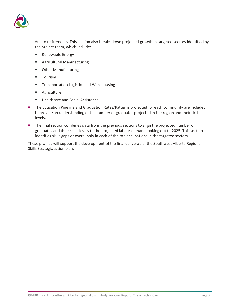

due to retirements. This section also breaks down projected growth in targeted sectors identified by the project team, which include:

- Renewable Energy
- Agricultural Manufacturing
- **•** Other Manufacturing
- **Tourism**
- **Transportation Logistics and Warehousing**
- **Agriculture**
- Healthcare and Social Assistance
- The Education Pipeline and Graduation Rates/Patterns projected for each community are included to provide an understanding of the number of graduates projected in the region and their skill levels.
- The final section combines data from the previous sections to align the projected number of graduates and their skills levels to the projected labour demand looking out to 2025. This section identifies skills gaps or oversupply in each of the top occupations in the targeted sectors.

These profiles will support the development of the final deliverable, the Southwest Alberta Regional Skills Strategic action plan.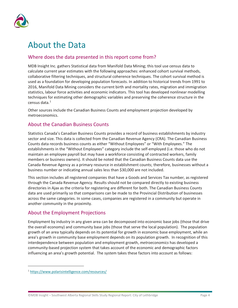

# <span id="page-7-0"></span>About the Data

## <span id="page-7-1"></span>Where does the data presented in this report come from?

MDB Insight Inc. gathers Statistical data from Manifold Data Mining; this tool use census data to calculate current year estimates with the following approaches: enhanced cohort survival methods, collaborative filtering techniques, and structural coherence techniques. The cohort survival method is used as a foundation for developing population forecasts. In addition to historical trends from 1991 to 2016, Manifold Data Mining considers the current birth and mortality rates, migration and immigration statistics, labour force activities and economic indicators. This tool has developed nonlinear modelling techniques for estimating other demographic variables and preserving the coherence structure in the census data.<sup>[1](#page-7-4)</sup>

Other sources include the Canadian Business Counts and employment projection developed by metroeconomics.

## <span id="page-7-2"></span>About the Canadian Business Counts

Statistics Canada's Canadian Business Counts provides a record of business establishments by industry sector and size. This data is collected from the Canadian Revenue Agency (CRA). The Canadian Business Counts data records business counts as either "Without Employees" or "With Employees." The establishments in the "Without Employees" category include the self-employed (i.e. those who do not maintain an employee payroll but may have a workforce consisting of contracted workers, family members or business owners). It should be noted that the Canadian Business Counts data use the Canada Revenue Agency as a primary resource in establishment counts; therefore, businesses without a business number or indicating annual sales less than \$30,000 are not included.

This section includes all registered companies that have a Goods and Services Tax number, as registered through the Canada Revenue Agency. Results should not be compared directly to existing business directories in Ajax as the criteria for registering are different for both. The Canadian Business Counts data are used primarily so that comparisons can be made to the Provincial Distribution of businesses across the same categories. In some cases, companies are registered in a community but operate in another community in the proximity.

## <span id="page-7-3"></span>About the Employment Projections

Employment by industry in any given area can be decomposed into economic base jobs (those that drive the overall economy) and community base jobs (those that serve the local population). The population growth of an area typically depends on its potential for growth in economic base employment, while an area's growth in community base employment depends on its population growth. In recognition of this interdependence between population and employment growth, *metroeconomics* has developed a community-based projection system that takes account of the economic and demographic factors influencing an area's growth potential. The system takes these factors into account as follows:

<span id="page-7-4"></span><sup>1</sup> <https://www.polarisintelligence.com/resources/>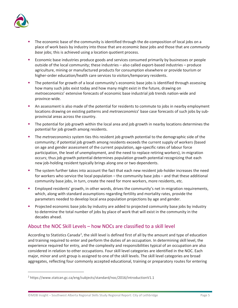

- The economic base of the community is identified through the de-composition of local jobs on a place of work basis by industry into those that are *economic base* jobs and those that are *community base* jobs; this is achieved using a location quotient process.
- **Economic base industries produce goods and services consumed primarily by businesses or people** outside of the local community; these industries – also called export-based industries – produce agriculture, mining or manufactured products for consumption elsewhere or provide tourism or higher-order education/health care services to visitors/temporary residents.
- The potential for growth of a local community's economic base jobs is identified through assessing how many such jobs exist today and how many might exist in the future, drawing on *metroeconomics*' extensive forecasts of economic base industrial job trends nation-wide and province-wide.
- An assessment is also made of the potential for residents to commute to jobs in nearby employment locations drawing on existing patterns and *metroeconomics*' base case forecasts of such jobs by subprovincial areas across the country.
- The potential for job growth within the local area and job growth in nearby locations determines the potential for job growth among residents.
- The *metroeconomics* system ties this resident job growth potential to the demographic side of the community; if potential job growth among residents exceeds the current supply of workers (based on age and gender assessment of the current population, age-specific rates of labour force participation, the level of unemployment, and the need to replace retiring workers), in-migration occurs; thus job growth potential determines population growth potential recognizing that each new job-holding resident typically brings along one or two dependents.
- The system further takes into account the fact that each new resident job-holder increases the need for workers who service the local population – the community base jobs – and that these additional community base jobs, in turn, create the need for more workers, more residents, etc.
- Employed residents' growth, in other words, drives the community's net in-migration requirements, which, along with standard assumptions regarding fertility and mortality rates, provide the parameters needed to develop local area population projections by age and gender.
- **Projected economic base jobs by industry are added to projected community base jobs by industry** to determine the total number of jobs by place of work that will exist in the community in the decades ahead.

## <span id="page-8-0"></span>About the NOC Skill Levels – how NOCs are classified to a skill level

According to Statistics Canada<sup>[2](#page-8-1)</sup>, the skill level is defined first of all by the amount and type of education and training required to enter and perform the duties of an occupation. In determining skill level, the experience required for entry, and the complexity and responsibilities typical of an occupation are also considered in relation to other occupations. Four skill level categories are identified in the NOC. Each major, minor and unit group is assigned to one of the skill levels. The skill level categories are broad aggregates, reflecting four commonly accepted educational, training or preparatory routes for entering

<span id="page-8-1"></span><sup>2</sup> https://www.statcan.gc.ca/eng/subjects/standard/noc/2016/introductionV1.1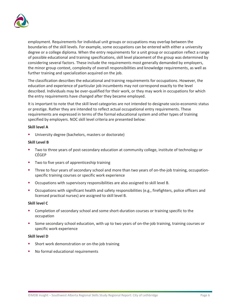

employment. Requirements for individual unit groups or occupations may overlap between the boundaries of the skill levels. For example, some occupations can be entered with either a university degree or a college diploma. When the entry requirements for a unit group or occupation reflect a range of possible educational and training specifications, skill level placement of the group was determined by considering several factors. These include the requirements most generally demanded by employers, the minor group context, complexity of overall responsibilities and knowledge requirements, as well as further training and specialization acquired on the job.

The classification describes the educational and training requirements for occupations. However, the education and experience of particular job incumbents may not correspond exactly to the level described. Individuals may be over-qualified for their work, or they may work in occupations for which the entry requirements have changed after they became employed.

It is important to note that the skill level categories are not intended to designate socio-economic status or prestige. Rather they are intended to reflect actual occupational entry requirements. These requirements are expressed in terms of the formal educational system and other types of training specified by employers. NOC skill level criteria are presented below:

#### **Skill level A**

University degree (bachelors, masters or doctorate)

#### **Skill Level B**

- Two to three years of post-secondary education at community college, institute of technology or CÉGEP
- Two to five years of apprenticeship training
- Three to four years of secondary school and more than two years of on-the-job training, occupationspecific training courses or specific work experience
- **C**Ccupations with supervisory responsibilities are also assigned to skill level B.
- Occupations with significant health and safety responsibilities (e.g., firefighters, police officers and licensed practical nurses) are assigned to skill level B.

#### **Skill level C**

- Completion of secondary school and some short-duration courses or training specific to the occupation
- Some secondary school education, with up to two years of on-the-job training, training courses or specific work experience

#### **Skill level D**

- Short work demonstration or on-the-job training
- No formal educational requirements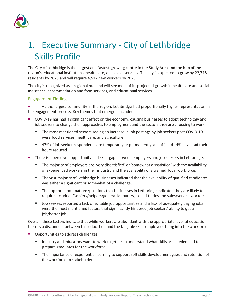

# <span id="page-10-0"></span>1. Executive Summary - City of Lethbridge Skills Profile

The City of Lethbridge is the largest and fastest-growing centre in the Study Area and the hub of the region's educational institutions, healthcare, and social services. The city is expected to grow by 22,718 residents by 2028 and will require 4,517 new workers by 2025.

The city is recognized as a regional hub and will see most of its projected growth in healthcare and social assistance, accommodation and food services, and educational services.

#### Engagement Findings

 As the largest community in the region, Lethbridge had proportionally higher representation in the engagement process. Key themes that emerged included:

- COVID-19 has had a significant effect on the economy, causing businesses to adopt technology and job seekers to change their approaches to employment and the sectors they are choosing to work in
	- The most mentioned sectors seeing an increase in job postings by job seekers post COVID-19 were food services, healthcare, and agriculture.
	- 47% of job seeker respondents are temporarily or permanently laid off, and 14% have had their hours reduced.
- There is a perceived opportunity and skills gap between employers and job seekers in Lethbridge.
	- The majority of employers are 'very dissatisfied' or 'somewhat dissatisfied' with the availability of experienced workers in their industry and the availability of a trained, local workforce.
	- The vast majority of Lethbridge businesses indicated that the availability of qualified candidates was either a significant or somewhat of a challenge.
	- The top three occupations/positions that businesses in Lethbridge indicated they are likely to require included: Cashiers/helpers/general labourers, skilled trades and sales/service workers.
	- Job seekers reported a lack of suitable job opportunities and a lack of adequately paying jobs were the most mentioned factors that significantly hindered job seekers' ability to get a job/better job.

Overall, these factors indicate that while workers are abundant with the appropriate level of education, there is a disconnect between this education and the tangible skills employees bring into the workforce.

- Opportunities to address challenges
	- Industry and educators want to work together to understand what skills are needed and to prepare graduates for the workforce.
	- The importance of experiential learning to support soft skills development gaps and retention of the workforce to stakeholders.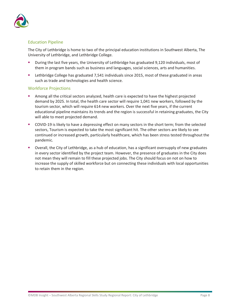

#### Education Pipeline

The City of Lethbridge is home to two of the principal education institutions in Southwest Alberta, The University of Lethbridge, and Lethbridge College.

- During the last five years, the University of Lethbridge has graduated 9,120 individuals, most of them in program bands such as business and languages, social sciences, arts and humanities.
- Lethbridge College has graduated 7,541 individuals since 2015, most of these graduated in areas such as trade and technologies and health science.

#### Workforce Projections

- Among all the critical sectors analyzed, health care is expected to have the highest projected demand by 2025. In total, the health care sector will require 1,041 new workers, followed by the tourism sector, which will require 614 new workers. Over the next five years, if the current educational pipeline maintains its trends and the region is successful in retaining graduates, the City will able to meet projected demand.
- COVID-19 is likely to have a depressing effect on many sectors in the short term; from the selected sectors, Tourism is expected to take the most significant hit. The other sectors are likely to see continued or increased growth, particularly healthcare, which has been stress tested throughout the pandemic.
- Overall, the City of Lethbridge, as a hub of education, has a significant oversupply of new graduates in every sector identified by the project team. However, the presence of graduates in the City does not mean they will remain to fill these projected jobs. The City should focus on not on how to increase the supply of skilled workforce but on connecting these individuals with local opportunities to retain them in the region.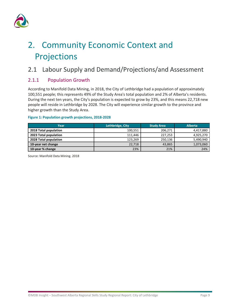

# <span id="page-12-0"></span>2. Community Economic Context and Projections

## <span id="page-12-1"></span>2.1 Labour Supply and Demand/Projections/and Assessment

## <span id="page-12-2"></span>2.1.1 Population Growth

According to Manifold Data Mining, in 2018, the City of Lethbridge had a population of approximately 100,551 people; this represents 49% of the Study Area's total population and 2% of Alberta's residents. During the next ten years, the City's population is expected to grow by 23%, and this means 22,718 new people will reside in Lethbridge by 2028. The City will experience similar growth to the province and higher growth than the Study Area.

#### **Figure 1: Population growth projections, 2018-2028**

| Year                  | Lethbridge, City | <b>Study Area</b> | <b>Alberta</b> |
|-----------------------|------------------|-------------------|----------------|
| 2018 Total population | 100.551          | 206,271           | 4,417,880      |
| 2023 Total population | 111.446          | 227,253           | 4,925,270      |
| 2028 Total population | 123,269          | 250,136           | 5,490,940      |
| 10-year net change    | 22,718           | 43,865            | 1,073,060      |
| 10-year % change      | 23%              | 21%               | 24%            |

Source: Manifold Data Mining. 2018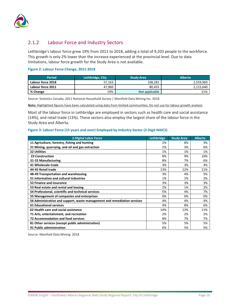

## <span id="page-13-0"></span>2.1.2 Labour Force and Industry Sectors

Lethbridge's labour force grew 19% from 2011 to 2018, adding a total of 9,203 people to the workforce. This growth is only 2% lower than the increase experienced at the provincial level. Due to data limitations, labour force growth for the Study Area is not available.

#### **Figure 2: Labour Force Change, 2011-2018**

| <b>Period</b>     | Lethbridge, City | <b>Study Area</b> | <b>Alberta</b> |
|-------------------|------------------|-------------------|----------------|
| Labour force 2018 | 57,163           | 108,281           | 2,559,960      |
| Labour force 2011 | 47.960           | 80,455            | 2,115,640      |
| % Change          | 19%              | Not applicable    | 21%            |

Source: Statistics Canada, 2011 National Household Survey | Manifold Data Mining Inc. 2018

**Note:** Highlighted figures have been calculated using data from limited communities. Do not use for labour growth analysis

Most of the labour force in Lethbridge are employed in sectors such as health care and social assistance (14%), and retail trade (13%). These sectors also employ the largest share of the labour force in the Study Area and Alberta.

#### **Figure 3: Labour Force (15 years and over) Employed by Industry Sector (2-Digit NAICS)**

| <b>2-Digital Labor Force</b>                                             | Lethbridge | <b>Study Area</b> | <b>Alberta</b> |
|--------------------------------------------------------------------------|------------|-------------------|----------------|
| 11 Agriculture, forestry, fishing and hunting                            | 2%         | 8%                | 3%             |
| 21 Mining, quarrying, and oil and gas extraction                         | 2%         | 3%                | 6%             |
| <b>22 Utilities</b>                                                      | 1%         | 1%                | 1%             |
| 23 Construction                                                          | 8%         | 9%                | 10%            |
| 31-33 Manufacturing                                                      | 8%         | 7%                | 6%             |
| 41 Wholesale trade                                                       | 3%         | 3%                | 4%             |
| 44-45 Retail trade                                                       | 13%        | 12%               | 11%            |
| 48-49 Transportation and warehousing                                     | 3%         | 4%                | 5%             |
| 51 Information and cultural industries                                   | 1%         | 1%                | 2%             |
| 52 Finance and insurance                                                 | 3%         | 3%                | 3%             |
| 53 Real estate and rental and leasing                                    | 2%         | 1%                | 2%             |
| 54 Professional, scientific and technical services                       | 5%         | 4%                | 7%             |
| 55 Management of companies and enterprises                               | 0%         | 0%                | 0%             |
| 56 Administrative and support, waste management and remediation services | 4%         | 4%                | 4%             |
| <b>61 Educational services</b>                                           | 9%         | 8%                | 6%             |
| 62 Health care and social assistance                                     | 14%        | 13%               | 11%            |
| 71 Arts, entertainment, and recreation                                   | 2%         | 2%                | 2%             |
| <b>72 Accommodation and food services</b>                                | 8%         | 7%                | 7%             |
| 81 Other services (except public administration)                         | 5%         | 5%                | 5%             |
| 91 Public administration                                                 | 6%         | 5%                | 5%             |

Source: Manifold Data Mining. 2018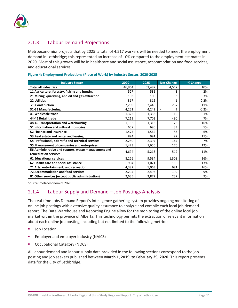

## <span id="page-14-0"></span>2.1.3 Labour Demand Projections

Metroeconomics projects that by 2025, a total of 4,517 workers will be needed to meet the employment demand in Lethbridge; this represented an increase of 10% compared to the employment estimates in 2020. Most of this growth will be in healthcare and social assistance, accommodation and food services, and educational services.

| <b>Industry Sector</b>                                                      | 2020   | 2025   | <b>Net Change</b> | % Change |
|-----------------------------------------------------------------------------|--------|--------|-------------------|----------|
| <b>Total all industries</b>                                                 | 46,964 | 51,482 | 4,517             | 10%      |
| 11 Agriculture, forestry, fishing and hunting                               | 527    | 535    | 8                 | 2%       |
| 21 Mining, quarrying, and oil and gas extraction                            | 103    | 106    | 3                 | 3%       |
| <b>22 Utilities</b>                                                         | 317    | 316    | $\blacksquare$    | $-0.2%$  |
| 23 Construction                                                             | 2,209  | 2,446  | 237               | 11%      |
| 31-33 Manufacturing                                                         | 4,251  | 4,242  | 9                 | $-0.2%$  |
| 41 Wholesale trade                                                          | 1,325  | 1,336  | 10                | 1%       |
| 44-45 Retail trade                                                          | 7,213  | 7,703  | 490               | 7%       |
| 48-49 Transportation and warehousing                                        | 1,136  | 1,313  | 178               | 16%      |
| 51 Information and cultural industries                                      | 657    | 690    | 33                | 5%       |
| 52 Finance and insurance                                                    | 1,475  | 1,562  | 87                | 6%       |
| 53 Real estate and rental and leasing                                       | 894    | 991    | 97                | 11%      |
| 54 Professional, scientific and technical services                          | 2,250  | 2,397  | 147               | 7%       |
| 55 Management of companies and enterprises                                  | 1,473  | 1,650  | 176               | 12%      |
| 56 Administrative and support, waste management and<br>remediation services | 4,694  | 5,213  | 519               | 11%      |
| <b>61 Educational services</b>                                              | 8,226  | 9,534  | 1,308             | 16%      |
| 62 Health care and social assistance                                        | 904    | 1,021  | 118               | 13%      |
| 71 Arts, entertainment, and recreation                                      | 4,382  | 5,063  | 681               | 16%      |
| <b>72 Accommodation and food services</b>                                   | 2,294  | 2,493  | 199               | 9%       |
| 81 Other services (except public administration)                            | 2,635  | 2,872  | 237               | 9%       |

#### **Figure 4: Employment Projections (Place of Work) by Industry Sector, 2020-2025**

Source: metroeconomics 2020

## <span id="page-14-1"></span>2.1.4 Labour Supply and Demand – Job Postings Analysis

The real-time Jobs Demand Report's intelligence-gathering system provides ongoing monitoring of online job postings with extensive quality assurance to analyze and compile each local job demand report. The Data Warehouse and Reporting Engine allow for the monitoring of the online local job market within the province of Alberta. This technology permits the extraction of relevant information about each online job posting, including but not limited to the following metrics:

- Job Location
- Employer and employer industry (NAICS)
- Occupational Category (NOCS)

All labour demand and labour supply data provided in the following sections correspond to the job posting and job seekers published between **March 1, 2019, to February 29, 2020.** This report presents data for the City of Lethbridge.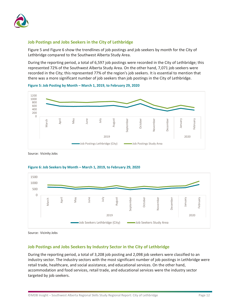

#### **Job Postings and Jobs Seekers in the City of Lethbridge**

[Figure 5](#page-15-0) and [Figure 6](#page-15-1) show the trendlines of job postings and job seekers by month for the City of Lethbridge compared to the Southwest Alberta Study Area.

During the reporting period, a total of 6,597 job postings were recorded in the City of Lethbridge; this represented 72% of the Southwest Alberta Study Area. On the other hand, 7,071 job seekers were recorded in the City; this represented 77% of the region's job seekers. It is essential to mention that there was a more significant number of job seekers than job postings in the City of Lethbridge.



<span id="page-15-0"></span>**Figure 5: Job Posting by Month – March 1, 2019, to February 29, 2020**

Source: Vicinity Jobs



#### <span id="page-15-1"></span>**Figure 6: Job Seekers by Month – March 1, 2019, to February 29, 2020**

Source: Vicinity Jobs

#### **Job Postings and Jobs Seekers by Industry Sector in the City of Lethbridge**

During the reporting period, a total of 3,208 job posting and 2,098 job seekers were classified to an industry sector. The industry sectors with the most significant number of job postings in Lethbridge were retail trade, healthcare, and social assistance, and educational services. On the other hand, accommodation and food services, retail trade, and educational services were the industry sector targeted by job seekers.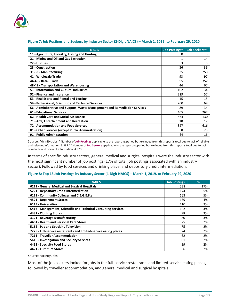

| <b>NACIS</b>                                                               | <b>Job Postings*</b> | <b>Job Seekers**</b> |
|----------------------------------------------------------------------------|----------------------|----------------------|
| 11 - Agriculture, Forestry, Fishing and Hunting                            | 0                    | 3                    |
| 21 - Mining and Oil and Gas Extraction                                     |                      | 14                   |
| 22 - Utilities                                                             | 3                    | 3                    |
| 23 - Construction                                                          | 36                   | 36                   |
| 31-33 - Manufacturing                                                      | 335                  | 253                  |
| 41 - Wholesale Trade                                                       | 93                   | 97                   |
| 44-45 - Retail Trade                                                       | 695                  | 352                  |
| 48-49 - Transportation and Warehousing                                     | 44                   | 67                   |
| 51 - Information and Cultural Industries                                   | 102                  | 34                   |
| 52 - Finance and Insurance                                                 | 229                  | 57                   |
| 53 - Real Estate and Rental and Leasing                                    | 15                   | 15                   |
| 54 - Professional, Scientific and Technical Services                       | 200                  | 69                   |
| 56 - Administrative and Support, Waste Management and Remediation Services | 89                   | 34                   |
| <b>61 - Educational Services</b>                                           | 405                  | 262                  |
| 62 - Health Care and Social Assistance                                     | 564                  | 130                  |
| 71 - Arts, Entertainment and Recreation                                    | 18                   | 17                   |
| 72 - Accommodation and Food Services                                       | 327                  | 616                  |
| 81 - Other Services (except Public Administration)                         | 8                    | 23                   |
| 91 - Public Administration                                                 | 44                   | 16                   |

#### **Figure 7: Job Postings and Seekers by Industry Sector (2-Digit NAICS) – March 1, 2019, to February 29, 2020**

Source: Vicinity Jobs \* Number of **Job Postings** applicable to the reporting period but excluded from this report's total due to lack of reliable and relevant information: 3,389 \*\* Number of **Job Seekers** applicable to the reporting period but excluded from this report's total due to lack of reliable and relevant information: 4,973

In terms of specific industry sectors, general medical and surgical hospitals were the industry sector with the most significant number of job postings (17% of total job postings associated with an industry sector). Followed by food services and drinking place, and depository credit intermediation.

#### **Figure 8: Top 15 Job Postings by Industry Sector (4-Digit NAICS) – March 1, 2019, to February 29, 2020**

| <b>NAICS</b>                                                      | <b>Job Postings</b> | %   |
|-------------------------------------------------------------------|---------------------|-----|
| 6221 - General Medical and Surgical Hospitals                     | 538                 | 17% |
| 5221 - Depository Credit Intermediation                           | 174                 | 5%  |
| 6112 - Community Colleges and C.E.G.E.P.s                         | 163                 | 5%  |
| 4521 - Department Stores                                          | 139                 | 4%  |
| 6113 - Universities                                               | 110                 | 3%  |
| 5416 - Management, Scientific and Technical Consulting Services   | 102                 | 3%  |
| 4481 - Clothing Stores                                            | 98                  | 3%  |
| 3121 - Beverage Manufacturing                                     | 80                  | 3%  |
| 4461 - Health and Personal Care Stores                            | 75                  | 2%  |
| 5152 - Pay and Specialty Television                               | 75                  | 2%  |
| 7225 - Full-service restaurants and limited-service eating places | 74                  | 2%  |
| 7211 - Traveller Accommodation                                    | 62                  | 2%  |
| 5616 - Investigation and Security Services                        | 61                  | 2%  |
| 4452 - Specialty Food Stores                                      | 59                  | 2%  |
| 4421 - Furniture Stores                                           | 56                  | 2%  |

Source: Vicinity Jobs

Most of the job seekers looked for jobs in the full-service restaurants and limited-service eating places, followed by traveller accommodation, and general medical and surgical hospitals.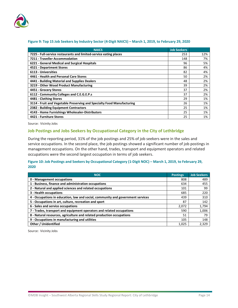

| <b>NAICS</b>                                                           | <b>Job Seekers</b> |     |
|------------------------------------------------------------------------|--------------------|-----|
| 7225 - Full-service restaurants and limited-service eating places      | 253                | 12% |
| 7211 - Traveller Accommodation                                         | 148                | 7%  |
| 6221 - General Medical and Surgical Hospitals                          | 96                 | 5%  |
| 4521 - Department Stores                                               | 86                 | 4%  |
| 6113 - Universities                                                    | 82                 | 4%  |
| 4461 - Health and Personal Care Stores                                 | 50                 | 2%  |
| 4441 - Building Material and Supplies Dealers                          | 48                 | 2%  |
| 3219 - Other Wood Product Manufacturing                                | 39                 | 2%  |
| 4451 - Grocery Stores                                                  | 37                 | 2%  |
| 6112 - Community Colleges and C.E.G.E.P.s                              | 37                 | 2%  |
| 4481 - Clothing Stores                                                 | 29                 | 1%  |
| 3114 - Fruit and Vegetable Preserving and Specialty Food Manufacturing | 26                 | 1%  |
| 2382 - Building Equipment Contractors                                  | 25                 | 1%  |
| 4143 - Home Furnishings Wholesaler-Distributors                        | 25                 | 1%  |
| 4421 - Furniture Stores                                                | 25                 | 1%  |

#### **Figure 9: Top 15 Job Seekers by Industry Sector (4-Digit NAICS) – March 1, 2019, to February 29, 2020**

Source: Vicinity Jobs

#### **Job Postings and Jobs Seekers by Occupational Category in the City of Lethbridge**

During the reporting period, 31% of the job postings and 25% of job seekers were in the sales and service occupations. In the second place, the job postings showed a significant number of job postings in management occupations. On the other hand, trades, transport and equipment operators and related occupations were the second largest occupation in terms of job seekers.

#### **Figure 10: Job Postings and Seekers by Occupational Category (1-Digit NOC) – March 1, 2019, to February 29, 2020**

| <b>NOC</b>                                                                      | <b>Postings</b> | <b>Job Seekers</b> |
|---------------------------------------------------------------------------------|-----------------|--------------------|
| 0 - Management occupations                                                      | 808             | 489                |
| 1 - Business, finance and administration occupations                            | 634             | 455                |
| 2 - Natural and applied sciences and related occupations                        | 101             | 99                 |
| 3 - Health occupations                                                          | 685             | 220                |
| 4 - Occupations in education, law and social, community and government services | 439             | 310                |
| 5 - Occupations in art, culture, recreation and sport                           | 87              | 142                |
| 6 - Sales and service occupations                                               | 2.072           | 1,794              |
| 7 - Trades, transport and equipment operators and related occupations           | 590             | 1,006              |
| 8 - Natural resources, agriculture and related production occupations           | 51              | 79                 |
| 9 - Occupations in manufacturing and utilities                                  | 105             | 148                |
| <b>Other / Unidentified</b>                                                     | 1.025           | 2,329              |

Source: Vicinity Jobs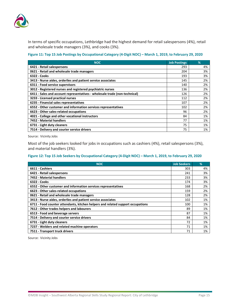

In terms of specific occupations, Lethbridge had the highest demand for retail salespersons (4%), retail and wholesale trade managers (3%), and cooks (3%).

| Figure 11: Top 15 Job Postings by Occupational Category (4-Digit NOC) - March 1, 2019, to February 29, 2020 |  |
|-------------------------------------------------------------------------------------------------------------|--|
|-------------------------------------------------------------------------------------------------------------|--|

| <b>NOC</b>                                                                 | <b>Job Postings</b> | %  |
|----------------------------------------------------------------------------|---------------------|----|
| 6421 - Retail salespersons                                                 | 293                 | 4% |
| 0621 - Retail and wholesale trade managers                                 | 204                 | 3% |
| 6322 - Cooks                                                               | 193                 | 3% |
| 3413 - Nurse aides, orderlies and patient service associates               | 145                 | 2% |
| 6311 - Food service supervisors                                            | 140                 | 2% |
| 3012 - Registered nurses and registered psychiatric nurses                 | 136                 | 2% |
| 6411 - Sales and account representatives - wholesale trade (non-technical) | 126                 | 2% |
| 3233 - Licensed practical nurses                                           | 112                 | 2% |
| 6235 - Financial sales representatives                                     | 107                 | 2% |
| 6552 - Other customer and information services representatives             | 102                 | 2% |
| 6623 - Other sales-related occupations                                     | 96                  | 2% |
| 4021 - College and other vocational instructors                            | 84                  | 1% |
| 7452 - Material handlers                                                   | 77                  | 1% |
| 6731 - Light duty cleaners                                                 | 75                  | 1% |
| 7514 - Delivery and courier service drivers                                | 75                  | 1% |

Source: Vicinity Jobs

Most of the job seekers looked for jobs in occupations such as cashiers (4%), retail salespersons (3%), and material handlers (3%).

#### **Figure 12: Top 15 Job Seekers by Occupational Category (4-Digit NOC) – March 1, 2019, to February 29, 2020**

| <b>NOC</b>                                                                      | <b>Job Seekers</b> | $\%$ |
|---------------------------------------------------------------------------------|--------------------|------|
| 6611 - Cashiers                                                                 | 303                | 4%   |
| 6421 - Retail salespersons                                                      | 241                | 3%   |
| 7452 - Material handlers                                                        | 233                | 3%   |
| 6322 - Cooks                                                                    | 174                | 3%   |
| 6552 - Other customer and information services representatives                  | 168                | 2%   |
| 6623 - Other sales-related occupations                                          | 159                | 2%   |
| 0621 - Retail and wholesale trade managers                                      | 128                | 2%   |
| 3413 - Nurse aides, orderlies and patient service associates                    | 102                | 1%   |
| 6711 - Food counter attendants, kitchen helpers and related support occupations | 100                | 1%   |
| 7612 - Other trades helpers and labourers                                       | 89                 | 1%   |
| 6513 - Food and beverage servers                                                | 87                 | 1%   |
| 7514 - Delivery and courier service drivers                                     | 84                 | 1%   |
| 6731 - Light duty cleaners                                                      | 72                 | 1%   |
| 7237 - Welders and related machine operators                                    | 71                 | 1%   |
| 7511 - Transport truck drivers                                                  | 71                 | 1%   |

Source: Vicinity Jobs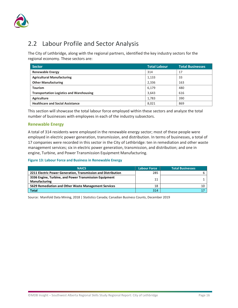

## <span id="page-19-0"></span>2.2 Labour Profile and Sector Analysis

The City of Lethbridge, along with the regional partners, identified the key industry sectors for the regional economy. These sectors are:

| <b>Sector</b>                                   | <b>Total Labour</b> | <b>Total Businesses</b> |
|-------------------------------------------------|---------------------|-------------------------|
| <b>Renewable Energy</b>                         | 314                 | 17                      |
| <b>Agricultural Manufacturing</b>               | 1,133               | 33                      |
| <b>Other Manufacturing</b>                      | 2,336               | 163                     |
| <b>Tourism</b>                                  | 6,179               | 480                     |
| <b>Transportation Logistics and Warehousing</b> | 3,643               | 616                     |
| Agriculture                                     | 1,783               | 390                     |
| <b>Healthcare and Social Assistance</b>         | 8,021               | 869                     |

This section will showcase the total labour force employed within these sectors and analyze the total number of businesses with employees in each of the industry subsectors.

#### **Renewable Energy**

A total of 314 residents were employed in the renewable energy sector; most of these people were employed in electric power generation, transmission, and distribution. In terms of businesses, a total of 17 companies were recorded in this sector in the City of Lethbridge: ten in remediation and other waste management services; six in electric power generation, transmission, and distribution; and one in engine, Turbine, and Power Transmission Equipment Manufacturing.

#### **Figure 13: Labour Force and Business in Renewable Energy**

| <b>NAICS</b>                                                                   | <b>Labour Force</b> | <b>Total Businesses</b> |
|--------------------------------------------------------------------------------|---------------------|-------------------------|
| 2211 Electric Power Generation, Transmission and Distribution                  | 285                 |                         |
| 3336 Engine, Turbine, and Power Transmission Equipment<br><b>Manufacturing</b> | 11                  |                         |
| 5629 Remediation and Other Waste Management Services                           | 18                  |                         |
| Total                                                                          | 314                 |                         |

Source: Manifold Data Mining, 2018 | Statistics Canada; Canadian Business Counts, December 2019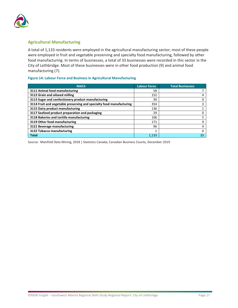

#### **Agricultural Manufacturing**

A total of 1,133 residents were employed in the agricultural manufacturing sector; most of these people were employed in fruit and vegetable preserving and specialty food manufacturing, followed by other food manufacturing. In terms of businesses, a total of 33 businesses were recorded in this sector in the City of Lethbridge. Most of these businesses were in other food production (9) and animal food manufacturing (7).

#### **Figure 14: Labour Force and Business in Agricultural Manufacturing**

| <b>NAICS</b>                                                         | <b>Labour Force</b> | <b>Total Businesses</b> |
|----------------------------------------------------------------------|---------------------|-------------------------|
| 3111 Animal food manufacturing                                       | 58                  |                         |
| 3112 Grain and oilseed milling                                       | 152                 | 4                       |
| 3113 Sugar and confectionery product manufacturing                   | 30                  |                         |
| 3114 Fruit and vegetable preserving and specialty food manufacturing | 354                 |                         |
| 3115 Dairy product manufacturing                                     | 136                 |                         |
| 3117 Seafood product preparation and packaging                       | 29                  |                         |
| 3118 Bakeries and tortilla manufacturing                             | 106                 |                         |
| 3119 Other food manufacturing                                        | 171                 | 9                       |
| 3121 Beverage manufacturing                                          | 96                  |                         |
| 3122 Tobacco manufacturing                                           |                     |                         |
| <b>Total</b>                                                         | 1.133               | 33                      |

Source: Manifold Data Mining, 2018 | Statistics Canada; Canadian Business Counts, December 2019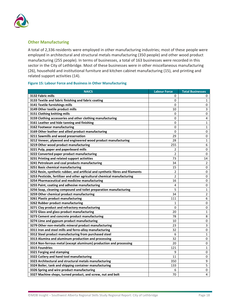

#### **Other Manufacturing**

A total of 2,336 residents were employed in other manufacturing industries; most of these people were employed in architectural and structural metals manufacturing (350 people) and other wood product manufacturing (255 people). In terms of businesses, a total of 163 businesses were recorded in this sector in the City of Lethbridge. Most of these businesses were in other miscellaneous manufacturing (26), household and institutional furniture and kitchen cabinet manufacturing (15), and printing and related support activities (14).

#### **Figure 15: Labour Force and Business in Other Manufacturing**

| <b>NAICS</b>                                                                    | <b>Labour Force</b> | <b>Total Businesses</b> |
|---------------------------------------------------------------------------------|---------------------|-------------------------|
| 3132 Fabric mills                                                               | 0                   | 0                       |
| 3133 Textile and fabric finishing and fabric coating                            | 0                   | $\mathbf{1}$            |
| 3141 Textile furnishings mills                                                  | 0                   | 0                       |
| 3149 Other textile product mills                                                | 10                  | 3                       |
| 3151 Clothing knitting mills                                                    | 0                   | 0                       |
| 3159 Clothing accessories and other clothing manufacturing                      | 0                   | 4                       |
| 3161 Leather and hide tanning and finishing                                     | 0                   | $\mathbf{1}$            |
| 3162 Footwear manufacturing                                                     | 0                   | $\mathbf{1}$            |
| 3169 Other leather and allied product manufacturing                             | 0                   | 0                       |
| 3211 Sawmills and wood preservation                                             | 29                  | $\pmb{0}$               |
| 3212 Veneer, plywood and engineered wood product manufacturing                  | 28                  | $\mathbf{1}$            |
| 3219 Other wood product manufacturing                                           | 255                 | 6                       |
| 3221 Pulp, paper and paperboard mills                                           | 2                   | 0                       |
| 3222 Converted paper product manufacturing                                      | $\overline{2}$      | 0                       |
| 3231 Printing and related support activities                                    | 73                  | 14                      |
| 3241 Petroleum and coal products manufacturing                                  | 34                  | $\overline{2}$          |
| 3251 Basic chemical manufacturing                                               | 15                  | 0                       |
| 3252 Resin, synthetic rubber, and artificial and synthetic fibres and filaments | 2                   | 0                       |
| 3253 Pesticide, fertilizer and other agricultural chemical manufacturing        | $\overline{2}$      | 0                       |
| 3254 Pharmaceutical and medicine manufacturing                                  | 16                  | 0                       |
| 3255 Paint, coating and adhesive manufacturing                                  | 4                   | 0                       |
| 3256 Soap, cleaning compound and toilet preparation manufacturing               | 5                   | $\mathbf{1}$            |
| 3259 Other chemical product manufacturing                                       | 34                  | $\overline{2}$          |
| 3261 Plastic product manufacturing                                              | 111                 | 6                       |
| 3262 Rubber product manufacturing                                               | 1                   | 0                       |
| 3271 Clay product and refractory manufacturing                                  | 0                   | 0                       |
| 3272 Glass and glass product manufacturing                                      | 20                  | $\mathbf{1}$            |
| 3273 Cement and concrete product manufacturing                                  | 78                  | 8                       |
| 3274 Lime and gypsum product manufacturing                                      | 10                  | 0                       |
| 3279 Other non-metallic mineral product manufacturing                           | 23                  | 3                       |
| 3311 Iron and steel mills and ferro-alloy manufacturing                         | 32                  | 0                       |
| 3312 Steel product manufacturing from purchased steel                           | 6                   | $\mathbf{1}$            |
| 3313 Alumina and aluminum production and processing                             | 32                  | 0                       |
| 3314 Non-ferrous metal (except aluminum) production and processing              | 20                  | 0                       |
| 3315 Foundries                                                                  | 121                 | $\mathbf{1}$            |
| 3321 Forging and stamping                                                       | 9                   | 0                       |
| 3322 Cutlery and hand tool manufacturing                                        | 11                  | $\mathbf 0$             |
| 3323 Architectural and structural metals manufacturing                          | 350                 | 9                       |
| 3324 Boiler, tank and shipping container manufacturing                          | 133                 | 5                       |
| 3326 Spring and wire product manufacturing                                      | 6                   | 0                       |
| 3327 Machine shops, turned product, and screw, nut and bolt                     | 70                  | 4                       |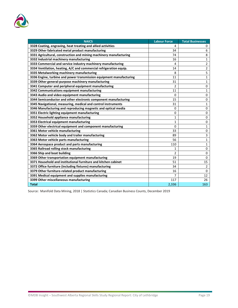

| <b>NAICS</b>                                                        | <b>Labour Force</b> | <b>Total Businesses</b> |
|---------------------------------------------------------------------|---------------------|-------------------------|
| 3328 Coating, engraving, heat treating and allied activities        | 4                   | 0                       |
| 3329 Other fabricated metal product manufacturing                   | 34                  | 6                       |
| 3331 Agricultural, construction and mining machinery manufacturing  | 74                  | 8                       |
| 3332 Industrial machinery manufacturing                             | 16                  | $\mathbf{1}$            |
| 3333 Commercial and service industry machinery manufacturing        | 4                   | $\overline{2}$          |
| 3334 Ventilation, heating, A/C and commercial refrigeration equip.  | 14                  | $\overline{2}$          |
| 3335 Metalworking machinery manufacturing                           | 8                   | $\overline{\mathbf{5}}$ |
| 3336 Engine, turbine and power transmission equipment manufacturing | 11                  | $\mathbf{1}$            |
| 3339 Other general-purpose machinery manufacturing                  | 31                  | $\mathbf{1}$            |
| 3341 Computer and peripheral equipment manufacturing                | $\overline{2}$      | 0                       |
| 3342 Communications equipment manufacturing                         | 11                  | $\mathbf{1}$            |
| 3343 Audio and video equipment manufacturing                        | 0                   | 0                       |
| 3344 Semiconductor and other electronic component manufacturing     | 15                  | 0                       |
| 3345 Navigational, measuring, medical and control instruments       | 31                  | $\mathbf{1}$            |
| 3346 Manufacturing and reproducing magnetic and optical media       | 0                   | 0                       |
| 3351 Electric lighting equipment manufacturing                      | 0                   | 0                       |
| 3352 Household appliance manufacturing                              | 1                   | 0                       |
| 3353 Electrical equipment manufacturing                             | 1                   | $\mathbf 0$             |
| 3359 Other electrical equipment and component manufacturing         | 0                   | $\mathbf{1}$            |
| 3361 Motor vehicle manufacturing                                    | 33                  | 0                       |
| 3362 Motor vehicle body and trailer manufacturing                   | 89                  | 3                       |
| 3363 Motor vehicle parts manufacturing                              | 56                  | $\mathbf{1}$            |
| 3364 Aerospace product and parts manufacturing                      | 110                 | $\mathbf{1}$            |
| 3365 Railroad rolling stock manufacturing                           | 1                   | 0                       |
| 3366 Ship and boat building                                         | 2                   | 0                       |
| 3369 Other transportation equipment manufacturing                   | 19                  | 0                       |
| 3371 Household and institutional furniture and kitchen cabinet      | 51                  | 15                      |
| 3372 Office furniture (including fixtures) manufacturing            | 34                  | $\overline{2}$          |
| 3379 Other furniture-related product manufacturing                  | 16                  | 0                       |
| 3391 Medical equipment and supplies manufacturing                   | 7                   | 12                      |
| 3399 Other miscellaneous manufacturing                              | 117                 | 26                      |
| <b>Total</b>                                                        | 2,336               | 163                     |

Source: Manifold Data Mining, 2018 | Statistics Canada; Canadian Business Counts, December 2019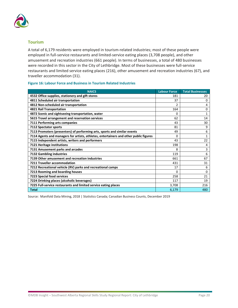

#### **Tourism**

A total of 6,179 residents were employed in tourism-related industries; most of these people were employed in full-service restaurants and limited-service eating places (3,708 people), and other amusement and recreation industries (661 people). In terms of businesses, a total of 480 businesses were recorded in this sector in the City of Lethbridge. Most of these businesses were full-service restaurants and limited service eating places (216), other amusement and recreation industries (67), and traveller accommodation (31).

#### **Figure 16: Labour Force and Business in Tourism Related Industries**

| <b>NAICS</b>                                                                          | <b>Labour Force</b> | <b>Total Businesses</b> |
|---------------------------------------------------------------------------------------|---------------------|-------------------------|
| 4532 Office supplies, stationery and gift stores                                      | 181                 | 20                      |
| 4811 Scheduled air transportation                                                     | 37                  | 0                       |
| 4812 Non-scheduled air transportation                                                 | 2                   | 4                       |
| 4821 Rail Transportation                                                              | 164                 | 0                       |
| 4872 Scenic and sightseeing transportation, water                                     | o                   | 1                       |
| 5615 Travel arrangement and reservation services                                      | 62                  | 14                      |
| 7111 Performing arts companies                                                        | 43                  | 30                      |
| 7112 Spectator sports                                                                 | 81                  | 9                       |
| 7113 Promoters (presenters) of performing arts, sports and similar events             | 49                  | 6                       |
| 7114 Agents and managers for artists, athletes, entertainers and other public figures | 0                   | 1                       |
| 7115 Independent artists, writers and performers                                      | 43                  | 22                      |
| 7121 Heritage institutions                                                            | 198                 | 4                       |
| 7131 Amusement parks and arcades                                                      | 8                   | 3                       |
| 7132 Gambling industries                                                              | 119                 | 6                       |
| 7139 Other amusement and recreation industries                                        | 661                 | 67                      |
| 7211 Traveller accommodation                                                          | 431                 | 31                      |
| 7212 Recreational vehicle (RV) parks and recreational camps                           | 17                  | 6                       |
| 7213 Rooming and boarding houses                                                      | o                   | 0                       |
| 7223 Special food services                                                            | 258                 | 21                      |
| 7224 Drinking places (alcoholic beverages)                                            | 117                 | 19                      |
| 7225 Full-service restaurants and limited service eating places                       | 3,708               | 216                     |
| <b>Total</b>                                                                          | 6,179               | 480                     |

Source: Manifold Data Mining, 2018 | Statistics Canada; Canadian Business Counts, December 2019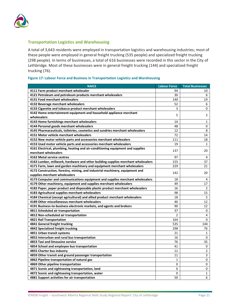

#### **Transportation Logistics and Warehousing**

A total of 3,643 residents were employed in transportation logistics and warehousing industries; most of these people were employed in general freight trucking (535 people) and specialized freight trucking (298 people). In terms of businesses, a total of 616 businesses were recorded in this sector in the City of Lethbridge. Most of these businesses were in general freight trucking (144) and specialized freight trucking (76).

| Figure 17: Labour Force and Business in Transportation Logistics and Warehousing |  |  |  |  |
|----------------------------------------------------------------------------------|--|--|--|--|
|----------------------------------------------------------------------------------|--|--|--|--|

| <b>NAICS</b>                                                                     | <b>Labour Force</b> | <b>Total Businesses</b> |
|----------------------------------------------------------------------------------|---------------------|-------------------------|
| 4111 Farm product merchant wholesaler                                            | 94                  | 10                      |
| 4121 Petroleum and petroleum products merchant wholesalers                       | 30                  | 6                       |
| 4131 Food merchant wholesalers                                                   | 140                 | 19                      |
| 4132 Beverage merchant wholesalers                                               | 52                  | 6                       |
| 4133 Cigarette and tobacco product merchant wholesalers                          | 3                   | 0                       |
| 4142 Home entertainment equipment and household appliance merchant               |                     |                         |
| wholesalers                                                                      | 5                   | 2                       |
| 4143 Home furnishings merchant wholesalers                                       | 14                  | $\mathbf{1}$            |
| 4144 Personal goods merchant wholesalers                                         | 48                  | 0                       |
| 4145 Pharmaceuticals, toiletries, cosmetics and sundries merchant wholesalers    | 12                  | 8                       |
| 4151 Motor vehicle merchant wholesalers                                          | 72                  | 14                      |
| 4152 New motor vehicle parts and accessories merchant wholesalers                | 111                 | 18                      |
| 4153 Used motor vehicle parts and accessories merchant wholesalers               | 19                  | 1                       |
| 4161 Electrical, plumbing, heating and air-conditioning equipment and supplies   | 137                 | 20                      |
| merchant wholesalers                                                             |                     |                         |
| 4162 Metal service centres                                                       | 97                  | 4                       |
| 4163 Lumber, millwork, hardware and other building supplies merchant wholesalers | 155                 | 37                      |
| 4171 Farm, lawn and garden machinery and equipment merchant wholesalers          | 229                 | 21                      |
| 4172 Construction, forestry, mining, and industrial machinery, equipment and     | 142                 | 20                      |
| supplies merchant wholesalers                                                    |                     |                         |
| 4173 Computer and communications equipment and supplies merchant wholesalers     | 18                  | 4                       |
| 4179 Other machinery, equipment and supplies merchant wholesalers                | 49                  | 17                      |
| 4182 Paper, paper product and disposable plastic product merchant wholesalers    | 16                  | $\overline{2}$          |
| 4183 Agricultural supplies merchant wholesalers                                  | 98                  | 15                      |
| 4184 Chemical (except agricultural) and allied product merchant wholesalers      | 18                  | 5                       |
| 4189 Other miscellaneous merchant wholesalers                                    | 40                  | 12                      |
| 4191 Business-to-business electronic markets, and agents and brokers             | 90                  | 12                      |
| 4811 Scheduled air transportation                                                | 37                  | 0                       |
| 4812 Non-scheduled air transportation                                            | $\overline{2}$      | 4                       |
| 4821 Rail Transportation                                                         | 164                 | 0                       |
| 4841 General freight trucking                                                    | 535                 | 144                     |
| 4842 Specialized freight trucking                                                | 298                 | 76                      |
| 4851 Urban transit systems                                                       | 21                  | $\mathbf{1}$            |
| 4852 Interurban and rural bus transportation                                     | 16                  | 0                       |
| 4853 Taxi and limousine service                                                  | 76                  | 35                      |
| 4854 School and employee bus transportation                                      | 41                  | 0                       |
| 4855 Charter bus industry                                                        | 11                  | $\overline{2}$          |
| 4859 Other transit and ground passenger transportation                           | 11                  | 3                       |
| 4862 Pipeline transportation of natural gas                                      | 1                   | 0                       |
| 4869 Other pipeline transportation                                               | 0                   | 0                       |
| 4871 Scenic and sightseeing transportation, land                                 | 0                   | 0                       |
| 4872 Scenic and sightseeing transportation, water                                | 0                   | $\mathbf{1}$            |
| 4881 Support activities for air transportation                                   | 50                  | 6                       |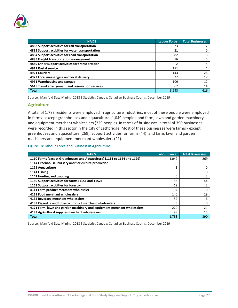

| <b>NAICS</b>                                     | <b>Labour Force</b> | <b>Total Businesses</b> |
|--------------------------------------------------|---------------------|-------------------------|
| 4882 Support activities for rail transportation  | 23                  |                         |
| 4883 Support activities for water transportation | 21                  |                         |
| 4884 Support activities for road transportation  | 82                  | 8                       |
| 4885 Freight transportation arrangement          | 56                  |                         |
| 4889 Other support activities for transportation |                     |                         |
| 4911 Postal service                              | 171                 |                         |
| 4921 Couriers                                    | 143                 | 26                      |
| 4922 Local messengers and local delivery         | 22                  | 17                      |
| 4931 Warehousing and storage                     | 109                 | 12                      |
| 5615 Travel arrangement and reservation services | 62                  | 14                      |
| <b>Total</b>                                     | 3,643               | 616                     |

Source: Manifold Data Mining, 2018 | Statistics Canada; Canadian Business Counts, December 2019

#### **Agriculture**

A total of 1,783 residents were employed in agriculture industries; most of these people were employed in farms - except greenhouses and aquaculture (1,049 people), and farm, lawn and garden machinery and equipment merchant wholesalers (229 people). In terms of businesses, a total of 390 businesses were recorded in this sector in the City of Lethbridge. Most of these businesses were farms - except greenhouses and aquaculture (269), support activities for farms (44), and farm, lawn and garden machinery and equipment merchant wholesalers (21).

#### **Figure 18: Labour Force and Business in Agriculture**

| <b>NAICS</b>                                                            | <b>Labour Force</b> | <b>Total Businesses</b> |
|-------------------------------------------------------------------------|---------------------|-------------------------|
| 1110 Farms (except Greenhouses and Aquaculture) (1111 to 1124 and 1129) | 1,049               | 269                     |
| 1114 Greenhouse, nursery and floriculture production                    | 39                  |                         |
| 1125 Aquaculture                                                        |                     | 0                       |
| 1141 Fishing                                                            | 6                   |                         |
| 1142 Hunting and trapping                                               | 0                   |                         |
| 1150 Support activities for farms (1151 and 1152)                       | 53                  | 44                      |
| 1153 Support activities for forestry                                    | 19                  |                         |
| 4111 Farm product merchant wholesaler                                   | 94                  | 10                      |
| 4131 Food merchant wholesalers                                          | 140                 | 19                      |
| 4132 Beverage merchant wholesalers                                      | 52                  | 6                       |
| 4133 Cigarette and tobacco product merchant wholesalers                 | 3                   | 0                       |
| 4171 Farm, lawn and garden machinery and equipment merchant wholesalers | 229                 | 21                      |
| 4183 Agricultural supplies merchant wholesalers                         | 98                  | 15                      |
| <b>Total</b>                                                            | 1.783               | 390                     |

Source: Manifold Data Mining, 2018 | Statistics Canada; Canadian Business Counts, December 2019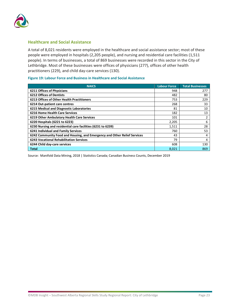![](_page_26_Picture_0.jpeg)

#### **Healthcare and Social Assistance**

A total of 8,021 residents were employed in the healthcare and social assistance sector; most of these people were employed in hospitals (2,205 people), and nursing and residential care facilities (1,511 people). In terms of businesses, a total of 869 businesses were recorded in this sector in the City of Lethbridge. Most of these businesses were offices of physicians (277), offices of other health practitioners (229), and child day-care services (130).

#### **Figure 19: Labour Force and Business in Healthcare and Social Assistance**

| <b>NAICS</b>                                                             | <b>Labour Force</b> | <b>Total Businesses</b> |
|--------------------------------------------------------------------------|---------------------|-------------------------|
| <b>6211 Offices of Physicians</b>                                        | 948                 | 277                     |
| <b>6212 Offices of Dentists</b>                                          | 482                 | 80                      |
| <b>6213 Offices of Other Health Practitioners</b>                        | 753                 | 229                     |
| 6214 Out-patient care centres                                            | 268                 | 33                      |
| 6215 Medical and Diagnostic Laboratories                                 | 81                  | 10                      |
| <b>6216 Home Health Care Services</b>                                    | 182                 | 13                      |
| 6219 Other Ambulatory Health Care Services                               | 101                 |                         |
| 6220 Hospitals (6221 to 6223)                                            | 2,205               | 6                       |
| 6230 Nursing and residential care facilities (6231 to 6239)              | 1,511               | 28                      |
| 6241 Individual and Family Services                                      | 760                 | 53                      |
| 6242 Community Food and Housing, and Emergency and Other Relief Services | 43                  | 4                       |
| <b>6243 Vocational Rehabilitation Services</b>                           | 79                  | 4                       |
| 6244 Child day-care services                                             | 608                 | 130                     |
| Total                                                                    | 8,021               | 869                     |

Source: Manifold Data Mining, 2018 | Statistics Canada; Canadian Business Counts, December 2019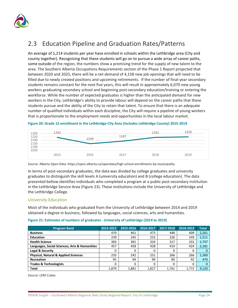![](_page_27_Picture_0.jpeg)

# <span id="page-27-0"></span>2.3 Education Pipeline and Graduation Rates/Patterns

An average of 1,214 students per year have enrolled in schools within the Lethbridge area (City and county together). Recognizing that these students will go on to pursue a wide array of career paths, some outside of the region, the numbers show a promising trend for the supply of new talent to the area. The Southern Alberta Occupations Requirements section of the Phase 1 Report projected that between 2020 and 2025, there will be a net demand of 4,158 new job openings that will need to be filled due to newly created positions and upcoming retirements. If the number of final-year secondary students remains constant for the next five years, this will result in approximately 6,070 new young workers graduating secondary school and beginning post-secondary education/training or entering the workforce. While the number of expected graduates is higher than the anticipated demand for new workers in the City, Lethbridge's ability to provide labour will depend on the career paths that these students pursue and the ability of the City to retain that talent. To ensure that there is an adequate number of qualified individuals within each discipline, the City will require a pipeline of young workers that is proportionate to the employment needs and opportunities in the local labour market.

| $\begin{array}{c} 1300 \\ 1250 \\ 1200 \\ 1150 \\ 100 \\ 1050 \end{array}$ | 1242 | 1149 | 1187 | 1242 | 1250 |
|----------------------------------------------------------------------------|------|------|------|------|------|
|                                                                            | 2015 | 2016 | 2017 | 2018 | 2019 |

**Figure 20: Grade 12 enrollment in the Lethbridge City Area (Includes Lethbridge County) 2015-2019**

Source: Alberta Open Data[. https://open.alberta.ca/opendata/high-school-enrollments-by-municipality](https://open.alberta.ca/opendata/high-school-enrollments-by-municipality)

In terms of post-secondary graduates, the data was divided by college graduates and university graduates to distinguish the skill levels A (university education) and B (college education). The data presented bellow identifies individuals who completed a program at a public post-secondary institution in the Lethbridge Service Area [\(Figure 23\)](#page-28-0). These institutions include the University of Lethbridge and the Lethbridge College.

### University Education

Most of the individuals who graduated from the University of Lethbridge between 2014 and 2019 obtained a degree in business, followed by languages, social sciences, arts and humanities.

| Figure 21: Estimates of numbers of graduates - University of Lethbridge (2014 to 2019) |  |  |  |
|----------------------------------------------------------------------------------------|--|--|--|
|----------------------------------------------------------------------------------------|--|--|--|

| <b>Program Band</b>                             | 2014-2015 | 2015-2016 | 2016-2017 | 2017-2018 | 2018-2019 | <b>Total</b> |
|-------------------------------------------------|-----------|-----------|-----------|-----------|-----------|--------------|
| <b>Business</b>                                 | 470       | 461       | 473       | 448       | 409       | 2,261        |
| <b>Education</b>                                | 239       | 245       | 252       | 226       | 249       | 1,211        |
| <b>Health Science</b>                           | 383       | 381       | 324       | 317       | 332       | 1,737        |
| Languages, Social Sciences, Arts & Humanities   | 457       | 458       | 428       | 414       | 424       | 2,181        |
| Legal & Security                                | 0         | 0         | 0         | 0         | 0         |              |
| <b>Physical, Natural &amp; Applied Sciences</b> | 235       | 242       | 251       | 266       | 266       | 1,260        |
| Recreation                                      | 95        | 94        | 99        | 90        | 92        | 470          |
| <b>Trades &amp; Technologists</b>               | 0         | 0         | 0         | 0         | 0         |              |
| Total                                           | 1,879     | 1.881     | 1,827     | 1.761     | 1.772     | 9,120        |

Source: LERS Cubes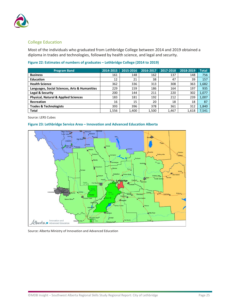![](_page_28_Picture_0.jpeg)

#### College Education

Most of the individuals who graduated from Lethbridge College between 2014 and 2019 obtained a diploma in trades and technologies, followed by health science, and legal and security.

| <b>Program Band</b>                             | 2014-2015 | 2015-2016 | 2016-2017 | 2017-2018 | 2018-2019 | <b>Total</b> |
|-------------------------------------------------|-----------|-----------|-----------|-----------|-----------|--------------|
| <b>Business</b>                                 | 161       | 148       | 162       | 137       | 148       | 756          |
| <b>Education</b>                                | 12        | 21        | 38        | 47        | 39        | 157          |
| <b>Health Science</b>                           | 362       | 336       | 313       | 308       | 363       | 1,682        |
| Languages, Social Sciences, Arts & Humanities   | 229       | 159       | 186       | 164       | 197       | 935          |
| Legal & Security                                | 200       | 144       | 211       | 220       | 302       | 1,077        |
| <b>Physical, Natural &amp; Applied Sciences</b> | 183       | 181       | 192       | 212       | 239       | 1,007        |
| <b>Recreation</b>                               | 16        | 15        | 20        | 18        | 18        | 87           |
| <b>Trades &amp; Technologists</b>               | 393       | 396       | 378       | 361       | 312       | 1,840        |
| <b>Total</b>                                    | 1,556     | 1,400     | 1,500     | 1,467     | 1,618     | 7,541        |

Source: LERS Cubes

#### <span id="page-28-0"></span>**Figure 23: Lethbridge Service Area – Innovation and Advanced Education Alberta**

![](_page_28_Figure_7.jpeg)

Source: Alberta Ministry of Innovation and Advanced Education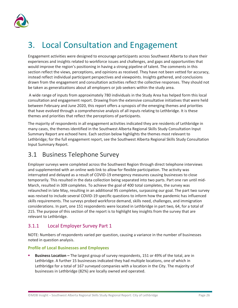![](_page_29_Picture_0.jpeg)

# <span id="page-29-0"></span>3. Local Consultation and Engagement

Engagement activities were designed to encourage participants across Southwest Alberta to share their experiences and insights related to workforce issues and challenges, and gaps and opportunities that would improve the region's positioning in having a strong pipeline of talent. The comments in this section reflect the views, perceptions, and opinions as received. They have not been vetted for accuracy, instead reflect individual participant perspectives and viewpoints. Insights gathered, and conclusions drawn from the engagement and consultation activities reflect the collective responses. They should not be taken as generalizations about all employers or job seekers within the study area.

A wide range of inputs from approximately 780 individuals in the Study Area has helped form this local consultation and engagement report. Drawing from the extensive consultative initiatives that were held between February and June 2020, this report offers a synopsis of the emerging themes and priorities that have evolved through a comprehensive analysis of all inputs relating to Lethbridge. It is these themes and priorities that reflect the perceptions of participants.

The majority of respondents in all engagement activities indicated they are residents of Lethbridge in many cases, the themes identified in the Southwest Alberta Regional Skills Study Consultation Input Summary Report are echoed here. Each section below highlights the themes most relevant to Lethbridge; for the full engagement report, see the Southwest Alberta Regional Skills Study Consultation Input Summary Report.

## <span id="page-29-1"></span>3.1 Business Telephone Survey

Employer surveys were completed across the Southwest Region through direct telephone interviews and supplemented with an online web link to allow for flexible participation. The activity was interrupted and delayed as a result of COVID-19 emergency measures causing businesses to close temporarily. This resulted in the data collection being separated into two parts. Part one ran until mid-March, resulted in 309 completes. To achieve the goal of 400 total completes, the survey was relaunched in late May, resulting in an additional 95 completes, surpassing our goal. The part two survey was revised to include several COVID-19 specific questions to inform how the pandemic has influenced skills requirements. The surveys probed workforce demand, skills need, challenges, and immigration considerations. In part, one 151 respondents were located in Lethbridge in part two, 64, for a total of 215. The purpose of this section of the report is to highlight key insights from the survey that are relevant to Lethbridge.

## <span id="page-29-2"></span>3.1.1 Local Employer Survey Part 1

NOTE: Numbers of respondents varied per question, causing a variance in the number of businesses noted in question analysis.

### **Profile of Local Businesses and Employees**

 **Business Location –** The largest group of survey respondents, 151 or 49% of the total, are in Lethbridge. A further 15 businesses indicated they had multiple locations, one of which in Lethbridge for a total of 167 surveyed companies with a location in the City. The majority of businesses in Lethbridge (82%) are locally owned and operated.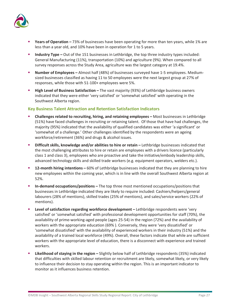![](_page_30_Picture_0.jpeg)

- **Years of Operation –** 73% of businesses have been operating for more than ten years, while 1% are less than a year old, and 10% have been in operation for 1 to 5 years.
- **Industry Type** Out of the 151 businesses in Lethbridge, the top three industry types included: General Manufacturing (11%), transportation (10%) and agriculture (9%). When compared to all survey responses across the Study Area, agriculture was the largest category at 19.4%.
- **Number of Employees –** Almost half (48%) of businesses surveyed have 1-5 employees. Mediumsized businesses classified as having 11 to 50 employees were the next largest group at 27% of responses, while those with 51-100+ employees were 5%.
- **High Level of Business Satisfaction –** The vast majority (93%) of Lethbridge business owners indicated that they were either 'very satisfied' or 'somewhat satisfied' with operating in the Southwest Alberta region.

#### **Key Business Talent Attraction and Retention Satisfaction Indicators**

- **Challenges related to recruiting, hiring, and retaining employees –** Most businesses in Lethbridge (51%) have faced challenges in recruiting or retaining talent.Of those that have had challenges, the majority (95%) indicated that the availability of qualified candidates was either 'a significant' or 'somewhat of a challenge.' Other challenges identified by the respondents were an ageing workforce/retirement (36%) and drugs & alcohol issues.
- **Difficult skills, knowledge and/or abilities to hire or retain –** Lethbridge businesses indicated that the most challenging attributes to hire or retain are employees with a drivers licence (particularly class 1 and class 3), employees who are proactive and take the initiative/embody leadership skills, advanced technology skills and skilled trade workers (e.g. equipment operators, welders etc.).
- **12-month hiring intentions –** 60% of Lethbridge businesses indicated that they are planning to hire new employees within the coming year, which is in line with the overall Southwest Alberta region at 52%.
- **In-demand occupations/positions –** The top three most mentioned occupations/positions that businesses in Lethbridge indicated they are likely to require included: Cashiers/helpers/general labourers (28% of mentions), skilled trades (25% of mentions), and sales/service workers (22% of mentions).
- **Level of satisfaction regarding workforce development –** Lethbridge respondents were 'very satisfied' or 'somewhat satisfied' with professional development opportunities for staff (70%), the availability of prime-working-aged people (ages 25-54) in the region (72%) and the availability of workers with the appropriate education (69% ). Conversely, they were 'very dissatisfied' or 'somewhat dissatisfied' with the availability of experienced workers in their industry (51%) and the availability of a trained local workforce (49%). Overall, these factors indicate that while are sufficient workers with the appropriate level of education, there is a disconnect with experience and trained workers.
- **Likelihood of staying in the region –** Slightly below half of Lethbridge respondents (35%) indicated that difficulties with skilled labour retention or recruitment are likely, somewhat likely, or very likely to influence their decision to stay operating within the region. This is an important indicator to monitor as it influences business retention.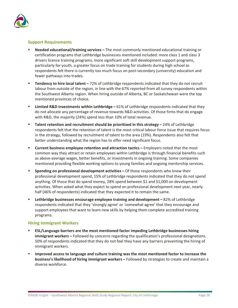![](_page_31_Picture_0.jpeg)

#### **Support Requirements**

- **Needed educational/training services –** The most commonly mentioned educational training or certification programs that Lethbridge businesses mentioned included: more class 1 and class 3 drivers licence training programs, more significant soft skill development support programs, particularly for youth, a greater focus on trade training for students during high school as respondents felt there is currently too much focus on post-secondary (university) education and fewer pathways into trades.
- **Tendency to hire local talent –** 72% of Lethbridge respondents indicated that they do not recruit labour from outside of the region, in line with the 67% reported from all survey respondents within the Southwest Alberta region. When hiring outside of Alberta, BC or Saskatchewan were the top mentioned provinces of choice.
- **Limited R&D investments within Lethbridge –** 61% of Lethbridge respondents indicated that they do not allocate any percentage of revenue towards R&D activities. Of those firms that do engage with R&D, the majority (24%) spend less than 10% of total revenue.
- **Talent retention and recruitment should be prioritized in this strategy –** 24% of Lethbridge respondents felt that the retention of talent is the most critical labour force issue that requires focus in the strategy, followed by recruitment of talent to the area (19%). Respondents also felt that better understanding what the region has to offer need significant focus.
- **Current business employee retention and attraction tactics –** Employers noted that the most common way they attract or retain employees within Lethbridge is through financial benefits such as above-average wages, better benefits, or investments in ongoing training. Some companies mentioned providing flexible working options to young families and ongoing mentorship services.
- **Spending on professional development activities –** Of those respondents who knew their professional development spend, 15% of Lethbridge respondents indicated that they do not spend anything. Of those that do spend money, 28% spend between \$1 and \$1,000 on development activities. When asked what they expect to spend on professional development next year, nearly half (46% of respondents) indicated that they expected it to remain the same.
- **Lethbridge businesses encourage employee training and development –** 82% of Lethbridge respondents indicated that they 'strongly agree' or 'somewhat agree' that they encourage and support employees that want to learn new skills by helping them complete accredited training programs.

#### **Hiring Immigrant Workers**

- **ESL/Language barriers are the most mentioned factor impeding Lethbridge businesses hiring immigrant workers –** Followed by concerns regarding the qualification's professional designations. 50% of respondents indicated that they do not feel they have any barriers preventing the hiring of immigrant workers.
- **Improved access to language and culture training was the most mentioned factor to increase the business's likelihood of hiring immigrant workers –** Followed by strategies to create and maintain a diverse workforce.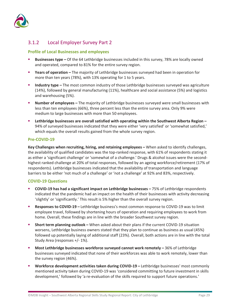![](_page_32_Picture_0.jpeg)

## <span id="page-32-0"></span>3.1.2 Local Employer Survey Part 2

#### **Profile of Local Businesses and employees**

- **Businesses type –** Of the 64 Lethbridge businesses included in this survey, 78% are locally owned and operated, compared to 81% for the entire survey region.
- **Years of operation –** The majority of Lethbridge businesses surveyed had been in operation for more than ten years (78%), with 13% operating for 1 to 5 years.
- **Industry type –** The most common industry of those Lethbridge businesses surveyed was agriculture (14%), followed by general manufacturing (11%), healthcare and social assistance (5%) and logistics and warehousing (5%).
- **Number of employees –** The majority of Lethbridge businesses surveyed were small businesses with less than ten employees (66%), three percent less than the entire survey area. Only 9% were medium to large businesses with more than 50 employees.
- **Lethbridge businesses are overall satisfied with operating within the Southwest Alberta Region –** 94% of surveyed businesses indicated that they were either 'very satisfied' or 'somewhat satisfied,' which equals the overall results gained from the whole survey region.

#### **Pre-COVID-19**

**Key Challenges when recruiting, hiring, and retaining employees –** When asked to identify challenges, the availability of qualified candidates was the top-ranked response, with 61% of respondents stating it as either a 'significant challenge' or 'somewhat of a challenge.' Drugs & alcohol issues were the secondhighest ranked challenge at 20% of total responses, followed by an ageing workforce/retirement (17% of respondents). Lethbridge businesses indicated that the availability of transportation and language barriers to be either 'not much of a challenge' or 'not a challenge' at 92% and 83%, respectively.

#### **COVID-19 Questions**

- **COVID-19 has had a significant impact on Lethbridge businesses –** 75% of Lethbridge respondents indicated that the pandemic had an impact on the health of their businesses with activity decreasing 'slightly' or 'significantly.' This result is 5% higher than the overall survey region.
- **Responses to COVID-19 –** Lethbridge business's most common response to COVID-19 was to limit employee travel, followed by shortening hours of operation and requiring employees to work from home. Overall, these findings are in line with the broader Southwest survey region.
- **Short term planning outlook –** When asked about their plans if the current COVID-19 situation worsens, Lethbridge business owners stated that they plan to continue as business as usual (45%) followed up potentially laying of additional staff (23%). Overall, both actions are in line with the total Study Area (responses +/- 1%).
- **Most Lethbridge businesses workforce surveyed cannot work remotely –** 36% of Lethbridge businesses surveyed indicated that none of their workforces was able to work remotely, lower than the survey region (46%).
- **Workforce development activities taken during COVID-19 –** Lethbridge businesses' most commonly mentioned activity taken during COVID-19 was 'considered committing to future investment in skills development,' followed by 'a re-evaluation of the skills required to support future operations.'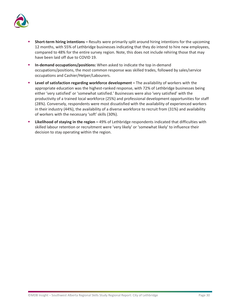![](_page_33_Picture_0.jpeg)

- **Short-term hiring intentions –** Results were primarily split around hiring intentions for the upcoming 12 months, with 55% of Lethbridge businesses indicating that they do intend to hire new employees, compared to 48% for the entire survey region. Note, this does not include rehiring those that may have been laid off due to COVID 19.
- **In-demand occupations/positions:** When asked to indicate the top in-demand occupations/positions, the most common response was skilled trades, followed by sales/service occupations and Cashier/Helper/Labourers.
- **Level of satisfaction regarding workforce development –** The availability of workers with the appropriate education was the highest-ranked response, with 72% of Lethbridge businesses being either 'very satisfied' or 'somewhat satisfied.' Businesses were also 'very satisfied' with the productivity of a trained local workforce (25%) and professional development opportunities for staff (28%). Conversely, respondents were most dissatisfied with the availability of experienced workers in their industry (44%), the availability of a diverse workforce to recruit from (31%) and availability of workers with the necessary 'soft' skills (30%).
- **Likelihood of staying in the region –** 49% of Lethbridge respondents indicated that difficulties with skilled labour retention or recruitment were 'very likely' or 'somewhat likely' to influence their decision to stay operating within the region.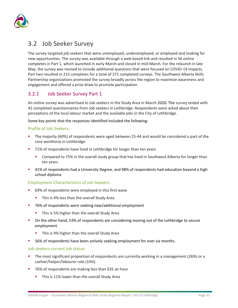![](_page_34_Picture_0.jpeg)

## <span id="page-34-0"></span>3.2 Job Seeker Survey

The survey targeted job seekers that were unemployed, underemployed, or employed and looking for new opportunities. The survey was available through a web-based link and resulted in 56 online completes in Part 1, which launched in early March and closed in mid-March. For the relaunch in late May, the survey was revised to include additional questions that were focused on COVID-19 impacts. Part two resulted in 215 completes for a total of 271 completed surveys. The Southwest Alberta Skills Partnership organizations promoted the survey broadly across the region to maximize awareness and engagement and offered a prize draw to promote participation.

## <span id="page-34-1"></span>3.2.1 Job Seeker Survey Part 1

An online survey was advertised to Job seekers in the Study Area in March 2020. The survey ended with 42 completed questionnaires from Job seekers in Lethbridge. Respondents were asked about their perceptions of the local labour market and the available jobs in the City of Lethbridge.

Some key points that the responses identified included the following:

#### Profile of Job Seekers:

- The majority (60%) of respondents were aged between 25-44 and would be considered a part of the core workforce in Lethbridge.
- 71% of respondents have lived in Lethbridge for longer than ten years
	- **Compared to 75% in the overall study group that has lived in Southwest Alberta for longer than** ten years
- 41% of respondents had a University Degree, and 98% of respondents had education beyond a high school diploma

#### Employment Characteristics of Job Seekers:

- 69% of respondents were employed in this first wave
	- This is 4% less than the overall Study Area
- 76% of respondents were seeking new/additional employment
	- This is 5% higher than the overall Study Area
- On the other hand, 53% of respondents are considering moving out of the Lethbridge to secure employment
	- **This is 9% higher than the overall Study Area**
- 56% of respondents have been actively seeking employment for over six months.

#### Job seekers current job status:

- The most significant proportion of respondents are currently working in a management (26%) or a cashier/helper/labourer role (14%)
- 76% of respondents are making less than \$35 an hour
	- **This is 11% lower than the overall Study Area**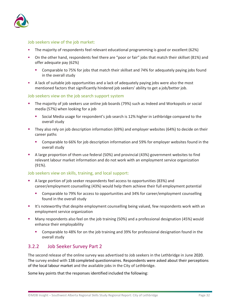![](_page_35_Picture_0.jpeg)

#### Job seekers view of the job market:

- The majority of respondents feel relevant educational programming is good or excellent (62%)
- On the other hand, respondents feel there are "poor or fair" jobs that match their skillset (81%) and offer adequate pay (62%)
	- Comparable to 75% for jobs that match their skillset and 74% for adequately paying jobs found in the overall study
- A lack of suitable job opportunities and a lack of adequately paying jobs were also the most mentioned factors that significantly hindered job seekers' ability to get a job/better job.

#### Job seekers view on the job search support system

- The majority of job seekers use online job boards (79%) such as Indeed and Workopolis or social media (57%) when looking for a job
	- Social Media usage for respondent's job search is 12% higher in Lethbridge compared to the overall study
- They also rely on job description information (69%) and employer websites (64%) to decide on their career paths
	- Comparable to 66% for job description information and 59% for employer websites found in the overall study
- A large proportion of them use federal (50%) and provincial (43%) government websites to find relevant labour market information and do not work with an employment service organization (91%).

#### Job seekers view on skills, training, and local support:

- A large portion of job seeker respondents feel access to opportunities (83%) and career/employment counselling (43%) would help them achieve their full employment potential
	- Comparable to 79% for access to opportunities and 34% for career/employment counselling found in the overall study
- **It's noteworthy that despite employment counselling being valued, few respondents work with an** employment service organization
- Many respondents also feel on the job training (50%) and a professional designation (45%) would enhance their employability
	- Comparable to 48% for on the job training and 39% for professional designation found in the overall study

### <span id="page-35-0"></span>3.2.2 Job Seeker Survey Part 2

The second release of the online survey was advertised to Job seekers in the Lethbridge in June 2020. The survey ended with 138 completed questionnaires. Respondents were asked about their perceptions of the local labour market and the available jobs in the City of Lethbridge.

Some key points that the responses identified included the following: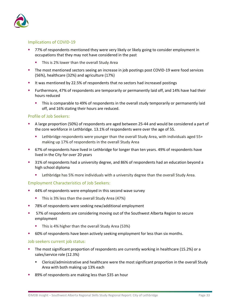![](_page_36_Picture_0.jpeg)

#### Implications of COVID-19

- 77% of respondents mentioned they were very likely or likely going to consider employment in occupations that they may not have considered in the past
	- **This is 2% lower than the overall Study Area**
- **The most mentioned sectors seeing an increase in job postings post COVID-19 were food services** (56%), healthcare (32%) and agriculture (17%)
- It was mentioned by 22.5% of respondents that no sectors had increased postings
- Furthermore, 47% of respondents are temporarily or permanently laid off, and 14% have had their hours reduced
	- This is comparable to 49% of respondents in the overall study temporarily or permanently laid off, and 16% stating their hours are reduced.

#### Profile of Job Seekers:

- A large proportion (50%) of respondents are aged between 25-44 and would be considered a part of the core workforce in Lethbridge. 13.1% of respondents were over the age of 55.
	- Lethbridge respondents were younger than the overall Study Area, with individuals aged 55+ making up 17% of respondents in the overall Study Area
- 67% of respondents have lived in Lethbridge for longer than ten years. 49% of respondents have lived in the City for over 20 years
- 31% of respondents had a university degree, and 86% of respondents had an education beyond a high school diploma
	- **EXECTED 10 FET 10 FET 10 FET 10 FET 10 FET 10 FET 10 FET 10 FET 10 FET 10 FET 10 FET 10 FET 10 FET 10 FET 10 FET 10 FET 10 FET 10 FET 10 FET 10 FET 10 FET 10 FET 10 FET 10 FET 10 FET 10 FET 10 FET 10 FET 10 FET 10 FET 10**

#### Employment Characteristics of Job Seekers:

- 44% of respondents were employed in this second wave survey
	- This is 3% less than the overall Study Area (47%)
- 78% of respondents were seeking new/additional employment
- 57% of respondents are considering moving out of the Southwest Alberta Region to secure employment
	- This is 4% higher than the overall Study Area (53%)
- 60% of respondents have been actively seeking employment for less than six months.

#### Job seekers current job status:

- The most significant proportion of respondents are currently working in healthcare (15.2%) or a sales/service role (12.3%)
	- Clerical/administrative and healthcare were the most significant proportion in the overall Study Area with both making up 13% each
- 89% of respondents are making less than \$35 an hour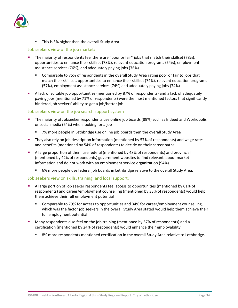![](_page_37_Picture_0.jpeg)

**This is 3% higher than the overall Study Area** 

#### Job seekers view of the job market:

- The majority of respondents feel there are "poor or fair" jobs that match their skillset (78%), opportunities to enhance their skillset (78%), relevant education programs (54%), employment assistance services (76%), and adequately paying jobs (76%)
	- Comparable to 75% of respondents in the overall Study Area rating poor or fair to jobs that match their skill set, opportunities to enhance their skillset (74%), relevant education programs (57%), employment assistance services (74%) and adequately paying jobs (74%)
- A lack of suitable job opportunities (mentioned by 87% of respondents) and a lack of adequately paying jobs (mentioned by 71% of respondents) were the most mentioned factors that significantly hindered job seekers' ability to get a job/better job.

#### Job seekers view on the job search support system

- The majority of Jobseeker respondents use online job boards (89%) such as Indeed and Workopolis or social media (64%) when looking for a job
	- 7% more people in Lethbridge use online job boards then the overall Study Area
- They also rely on job description information (mentioned by 57% of respondents) and wage rates and benefits (mentioned by 54% of respondents) to decide on their career paths
- A large proportion of them use federal (mentioned by 48% of respondents) and provincial (mentioned by 42% of respondents) government websites to find relevant labour market information and do not work with an employment service organization (94%)
	- 6% more people use federal job boards in Lethbridge relative to the overall Study Area.

#### Job seekers view on skills, training, and local support:

- A large portion of job seeker respondents feel access to opportunities (mentioned by 61% of respondents) and career/employment counselling (mentioned by 33% of respondents) would help them achieve their full employment potential
	- Comparable to 79% for access to opportunities and 34% for career/employment counselling, which was the factor job seekers in the overall Study Area stated would help them achieve their full employment potential
- Many respondents also feel on the job training (mentioned by 57% of respondents) and a certification (mentioned by 24% of respondents) would enhance their employability
	- **8%** more respondents mentioned certification in the overall Study Area relative to Lethbridge.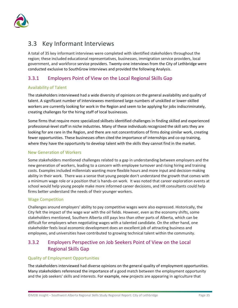![](_page_38_Picture_0.jpeg)

## <span id="page-38-0"></span>3.3 Key Informant Interviews

A total of 35 key informant interviews were completed with identified stakeholders throughout the region; these included educational representatives, businesses, immigration service providers, local government, and workforce service providers. Twenty-one interviews from the City of Lethbridge were conducted exclusive to SouthGrow interviews and provided the following Analysis.

## <span id="page-38-1"></span>3.3.1 Employers Point of View on the Local Regional Skills Gap

#### Availability of Talent

The stakeholders interviewed had a wide diversity of opinions on the general availability and quality of talent. A significant number of interviewees mentioned large numbers of unskilled or lower-skilled workers are currently looking for work in the Region and seem to be applying for jobs indiscriminately, creating challenges for the hiring staff of local businesses.

Some firms that require more specialized skillsets identified challenges in finding skilled and experienced professional-level staff in niche industries. Many of these individuals recognized the skill sets they are looking for are rare in the Region, and there are not concentrations of firms doing similar work, creating fewer opportunities. These businesses often cited the importance of internships and co-op training, where they have the opportunity to develop talent with the skills they cannot find in the market.

#### New Generation of Workers

Some stakeholders mentioned challenges related to a gap in understanding between employers and the new generation of workers, leading to a concern with employee turnover and rising hiring and training costs. Examples included millennials wanting more flexible hours and more input and decision-making ability in their work. There was a sense that young people don't understand the growth that comes with a minimum wage role or a position that is hands-on work. It was noted that career exploration events at school would help young people make more informed career decisions, and HR consultants could help firms better understand the needs of their younger workers.

#### Wage Competition

Challenges around employers' ability to pay competitive wages were also expressed. Historically, the City felt the impact of the wage war with the oil fields. However, even as the economy shifts, some stakeholders mentioned, Southern Alberta still pays less than other parts of Alberta, which can be difficult for employers when negotiating wages with a talented candidate. On the other hand, one stakeholder feels local economic development does an excellent job of attracting business and employees, and universities have contributed to growing technical talent within the community.

## <span id="page-38-2"></span>3.3.2 Employers Perspective on Job Seekers Point of View on the Local Regional Skills Gap

#### Quality of Employment Opportunities

The stakeholders interviewed had diverse opinions on the general quality of employment opportunities. Many stakeholders referenced the importance of a good match between the employment opportunity and the job seekers' skills and interests. For example, new projects are appearing in agriculture that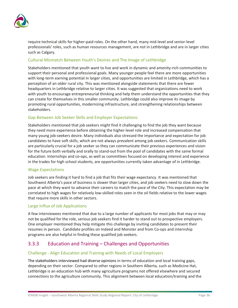![](_page_39_Picture_0.jpeg)

require technical skills for higher-paid roles. On the other hand, many mid-level and senior-level professionals' roles, such as human resources management, are not in Lethbridge and are in larger cities such as Calgary.

#### Cultural Mismatch Between Youth's Desires and The Image of Lethbridge

Stakeholders mentioned that youth want to live and work in dynamic and amenity-rich communities to support their personal and professional goals. Many younger people feel there are more opportunities with long-term earning potential in larger cities, and opportunities are limited in Lethbridge, which has a perception of an older rural city. This was mentioned alongside statements that there are fewer headquarters in Lethbridge relative to larger cities. It was suggested that organizations need to work with youth to encourage entrepreneurial thinking and help them understand the opportunities that they can create for themselves in this smaller community. Lethbridge could also improve its image by promoting rural opportunities, modernizing infrastructure, and strengthening relationships between stakeholders.

#### Gap Between Job Seeker Skills and Employer Expectations

Stakeholders mentioned that job seekers might find it challenging to find the job they want because they need more experience before obtaining the higher-level role and increased compensation that many young job-seekers desire. Many individuals also stressed the importance and expectation for job candidates to have soft skills, which are not always prevalent among job seekers. Communication skills are particularly crucial for a job seeker so they can communicate their previous experiences and vision for the future both verbally and orally to stand-out from the pool of candidates with the same formal education. Internships and co-ops, as well as committees focused on developing interest and experience in the trades for high school students, are opportunities currently taken advantage of in Lethbridge.

#### Wage Expectations

Job seekers are finding it hard to find a job that fits their wage expectancy. It was mentioned that Southwest Alberta's pace of business is slower than larger cities, and job seekers need to slow down the pace at which they want to advance their careers to match the pace of the City. This expectation may be correlated to high wages for relatively low-skilled roles seen in the oil fields relative to the lower wages that require more skills in other sectors.

#### Large Influx of Job Applications

A few interviewees mentioned that due to a large number of applicants for most jobs that may or may not be qualified for the role, serious job seekers find it harder to stand out to prospective employers. One employer mentioned they help mitigate this challenge by inviting candidates to present their resumes in person. Candidate profiles on Indeed and Monster and from Co-ops and internship programs are also helpful in finding these qualified job seekers.

### <span id="page-39-0"></span>3.3.3 Education and Training – Challenges and Opportunities

#### Challenge - Align Education and Training with Needs of Local Employers

The stakeholders interviewed had diverse opinions in terms of education and local training gaps, depending on their sector. Compared to other regions in Southern Alberta, such as Medicine Hat, Lethbridge is an education hub with many agriculture programs not offered elsewhere and secured connections to the agriculture community. This alignment between local education/training and the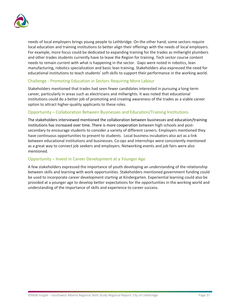![](_page_40_Picture_0.jpeg)

needs of local employers brings young people to Lethbridge. On the other hand, some sectors require local education and training institutions to better align their offerings with the needs of local employers. For example, more focus could be dedicated to expanding training for the trades as millwright plumbers and other trades students currently have to leave the Region for training. Tech sector course content needs to remain current with what is happening in the sector. Gaps were noted in robotics, lean manufacturing, robotics specialization and basic lean training. Stakeholders also expressed the need for educational institutions to teach students' soft skills to support their performance in the working world.

#### Challenge - Promoting Education in Sectors Requiring More Labour

Stakeholders mentioned that trades had seen fewer candidates interested in pursuing a long-term career, particularly in areas such as electricians and millwrights. It was noted that educational institutions could do a better job of promoting and creating awareness of the trades as a viable career option to attract higher-quality applicants to these roles.

#### Opportunity – Collaboration Between Businesses and Education/Training Institutions

The stakeholders interviewed mentioned the collaboration between businesses and education/training institutions has increased over time. There is more cooperation between high schools and postsecondary to encourage students to consider a variety of different careers. Employers mentioned they have continuous opportunities to present to students. Local business incubators also act as a link between educational institutions and businesses. Co-ops and internships were consistently mentioned as a great way to connect job seekers and employers. Networking events and job fairs were also mentioned.

#### Opportunity – Invest in Career Development at a Younger Age

A few stakeholders expressed the importance of youth developing an understanding of the relationship between skills and learning with work opportunities. Stakeholders mentioned government funding could be used to incorporate career development starting at Kindergarten. Experiential learning could also be provided at a younger age to develop better expectations for the opportunities in the working world and understanding of the importance of skills and experience to career success.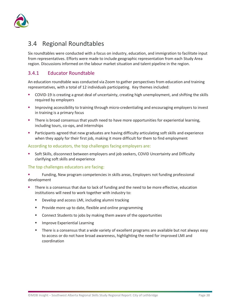![](_page_41_Picture_0.jpeg)

## <span id="page-41-0"></span>3.4 Regional Roundtables

Six roundtables were conducted with a focus on industry, education, and immigration to facilitate input from representatives. Efforts were made to include geographic representation from each Study Area region. Discussions informed on the labour market situation and talent pipeline in the region.

## <span id="page-41-1"></span>3.4.1 Educator Roundtable

An education roundtable was conducted via Zoom to gather perspectives from education and training representatives, with a total of 12 individuals participating. Key themes included:

- COVID-19 is creating a great deal of uncertainty, creating high unemployment, and shifting the skills required by employers
- **IMPROVING ACCOMBUT IN 2018 IMPROVING THE UPS INTER** improving and encouraging employers to invest in training is a primary focus
- **There is broad consensus that youth need to have more opportunities for experiential learning,** including tours, co-ops, and internships
- **Participants agreed that new graduates are having difficulty articulating soft skills and experience** when they apply for their first job, making it more difficult for them to find employment

#### According to educators, the top challenges facing employers are:

 Soft Skills, disconnect between employers and job seekers, COVID Uncertainty and Difficulty clarifying soft skills and experience

#### The top challenges educators are facing:

- Funding, New program competencies in skills areas, Employers not funding professional development
- There is a consensus that due to lack of funding and the need to be more effective, education institutions will need to work together with industry to:
	- **Develop and access LMI, including alumni tracking**
	- **Provide more up to date, flexible and online programming**
	- **EXECONNET CONNECT STATE:** Connect Students to jobs by making them aware of the opportunities
	- **Improve Experiential Learning**
	- **There is a consensus that a wide variety of excellent programs are available but not always easy** to access or do not have broad awareness, highlighting the need for improved LMI and coordination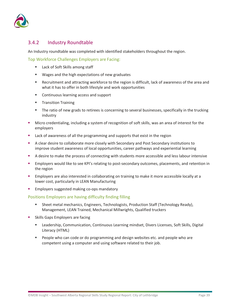![](_page_42_Picture_0.jpeg)

## <span id="page-42-0"></span>3.4.2 Industry Roundtable

An Industry roundtable was completed with identified stakeholders throughout the region.

Top Workforce Challenges Employers are Facing:

- Lack of Soft Skills among staff
- Wages and the high expectations of new graduates
- Recruitment and attracting workforce to the region is difficult, lack of awareness of the area and what it has to offer in both lifestyle and work opportunities
- Continuous learning access and support
- **Transition Training**
- **The ratio of new grads to retirees is concerning to several businesses, specifically in the trucking** industry
- Micro credentialing, including a system of recognition of soft skills, was an area of interest for the employers
- **EXEC** Lack of awareness of all the programming and supports that exist in the region
- A clear desire to collaborate more closely with Secondary and Post Secondary institutions to improve student awareness of local opportunities, career pathways and experiential learning
- A desire to make the process of connecting with students more accessible and less labour intensive
- **Employers would like to see KPI's relating to post-secondary outcomes, placements, and retention in** the region
- **Employers are also interested in collaborating on training to make it more accessible locally at a** lower cost, particularly in LEAN Manufacturing
- Employers suggested making co-ops mandatory

#### Positions Employers are having difficulty finding filling

- Sheet metal mechanics, Engineers, Technologists, Production Staff (Technology Ready), Management, LEAN Trained, Mechanical Millwrights, Qualified truckers
- Skills Gaps Employers are facing
	- Leadership, Communication, Continuous Learning mindset, Divers Licenses, Soft Skills, Digital Literacy (HTML)
	- People who can code or do programming and design websites etc. and people who are competent using a computer and using software related to their job.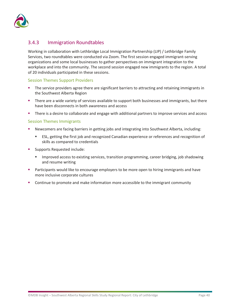![](_page_43_Picture_0.jpeg)

### <span id="page-43-0"></span>3.4.3 Immigration Roundtables

Working in collaboration with Lethbridge Local Immigration Partnership (LIP) / Lethbridge Family Services, two roundtables were conducted via Zoom. The first session engaged immigrant-serving organizations and some local businesses to gather perspectives on immigrant integration to the workplace and into the community. The second session engaged new immigrants to the region. A total of 20 individuals participated in these sessions.

#### Session Themes Support Providers

- The service providers agree there are significant barriers to attracting and retaining immigrants in the Southwest Alberta Region
- **There are a wide variety of services available to support both businesses and immigrants, but there** have been disconnects in both awareness and access
- There is a desire to collaborate and engage with additional partners to improve services and access

#### Session Themes Immigrants

- Newcomers are facing barriers in getting jobs and integrating into Southwest Alberta, including:
	- ESL, getting the first job and recognized Canadian experience or references and recognition of skills as compared to credentials
- Supports Requested include:
	- Improved access to existing services, transition programming, career bridging, job shadowing and resume writing
- Participants would like to encourage employers to be more open to hiring immigrants and have more inclusive corporate cultures
- Continue to promote and make information more accessible to the immigrant community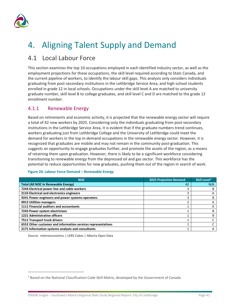![](_page_44_Picture_0.jpeg)

# <span id="page-44-0"></span>4. Aligning Talent Supply and Demand

## <span id="page-44-1"></span>4.1 Local Labour Force

This section examines the top 10 occupations employed in each identified industry sector, as well as the employment projections for these occupations, the skill level required according to Stats Canada, and the current pipeline of workers, to identify the labour skill gaps. This analysis only considers individuals graduating from post-secondary institutions in the Lethbridge Service Area, and high-school students enrolled in grade 12 in local schools. Occupations under the skill level A are matched to university graduate number, skill level B to college graduates, and skill level C and D are matched to the grade 12 enrollment number.

## <span id="page-44-2"></span>4.1.1 Renewable Energy

Based on retirements and economic activity, it is projected that the renewable energy sector will require a total of 42 new workers by 2025. Considering only the individuals graduating from post-secondary institutions in the Lethbridge Service Area, it is evident that if the graduate numbers trend continues, workers graduating just from Lethbridge College and the University of Lethbridge could meet the demand for workers in the top in-demand occupations in the renewable energy sector. However, it is recognized that graduates are mobile and may not remain in the community post-graduation. This suggests an opportunity to engage graduates further, and promote the assets of the region, as a means of retaining them upon graduation. However, there is likely to be a significant workforce considering transitioning to renewable energy from the depressed oil and gas sector. This workforce has the potential to reduce opportunities for new graduates, pushing them out of the region in search of work.

| <b>NOC</b>                                                   | <b>2025 Projection Demand</b> | Skill Level <sup>3</sup> |
|--------------------------------------------------------------|-------------------------------|--------------------------|
| <b>Total (All NOC in Renewable Energy)</b>                   | 42                            | N/A                      |
| 7244 Electrical power line and cable workers                 |                               |                          |
| 2133 Electrical and electronics engineers                    |                               | $\mathbf{\mathsf{H}}$    |
| 9241 Power engineers and power systems operators             |                               |                          |
| 0912 Utilities managers                                      |                               | А                        |
| 1111 Financial auditors and accountants                      |                               | А                        |
| 7243 Power system electricians                               |                               | в                        |
| 1221 Administrative officers                                 |                               | R                        |
| 7511 Transport truck drivers                                 |                               |                          |
| 6552 Other customer and information services representatives |                               |                          |
| 2171 Information systems analysts and consultants            |                               | А                        |

#### **Figure 24: Labour Force Demand – Renewable Energy**

<span id="page-44-3"></span><sup>&</sup>lt;sup>3</sup> Based on the National Classification Code Skill Matrix, developed by the Government of Canada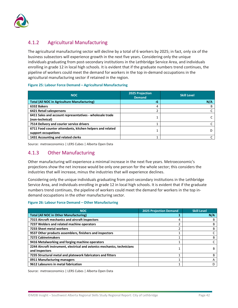![](_page_45_Picture_0.jpeg)

## <span id="page-45-0"></span>4.1.2 Agricultural Manufacturing

The agricultural manufacturing sector will decline by a total of 6 workers by 2025; in fact, only six of the business subsectors will experience growth in the next five years. Considering only the unique individuals graduating from post-secondary institutions in the Lethbridge Service Area, and individuals enrolling in grade 12 in local high schools. It is evident that if the graduate numbers trend continues, the pipeline of workers could meet the demand for workers in the top in-demand occupations in the agricultural manufacturing sector if retained in the region.

#### **Figure 25: Labour Force Demand – Agricultural Manufacturing**

| <b>NOC</b>                                                                       | <b>2025 Projection</b><br><b>Demand</b> | <b>Skill Level</b> |
|----------------------------------------------------------------------------------|-----------------------------------------|--------------------|
| <b>Total (All NOC in Agriculture Manufacturing)</b>                              | -6                                      | N/A                |
| 6332 Bakers                                                                      | 4                                       |                    |
| 6421 Retail salespersons                                                         |                                         |                    |
| 6411 Sales and account representatives - wholesale trade<br>(non-technical)      |                                         |                    |
| 7514 Delivery and courier service drivers                                        |                                         |                    |
| 6711 Food counter attendants, kitchen helpers and related<br>support occupations |                                         |                    |
| 1431 Accounting and related clerks                                               |                                         |                    |

Source: metroeconomics | LERS Cubes | Alberta Open Data

### <span id="page-45-1"></span>4.1.3 Other Manufacturing

Other manufacturing will experience a minimal increase in the next five years. Metroeconomic's projections show the net increase would be only one person for the whole sector; this considers the industries that will increase, minus the industries that will experience declines.

Considering only the unique individuals graduating from post-secondary institutions in the Lethbridge Service Area, and individuals enrolling in grade 12 in local high schools. It is evident that if the graduate numbers trend continues, the pipeline of workers could meet the demand for workers in the top indemand occupations in the other manufacturing sector.

#### **Figure 26: Labour Force Demand – Other Manufacturing**

| <b>NOC</b>                                                                                 | <b>2025 Projection Demand</b> | <b>Skill Level</b> |
|--------------------------------------------------------------------------------------------|-------------------------------|--------------------|
| <b>Total (All NOC in Other Manufacturing)</b>                                              |                               | N/A                |
| 7315 Aircraft mechanics and aircraft inspectors                                            | 4                             | в                  |
| 7237 Welders and related machine operators                                                 |                               | B                  |
| 7233 Sheet metal workers                                                                   | ำ                             | B                  |
| 9537 Other products assemblers, finishers and inspectors                                   |                               |                    |
| <b>7272 Cabinetmakers</b>                                                                  |                               | B                  |
| 9416 Metalworking and forging machine operators                                            |                               |                    |
| 2244 Aircraft instrument, electrical and avionics mechanics, technicians<br>and inspectors |                               | B                  |
| 7235 Structural metal and platework fabricators and fitters                                |                               | B                  |
| 0911 Manufacturing managers                                                                |                               | Α                  |
| 9612 Labourers in metal fabrication                                                        |                               | D                  |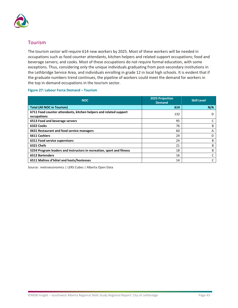![](_page_46_Picture_0.jpeg)

### <span id="page-46-0"></span>Tourism

The tourism sector will require 614 new workers by 2025. Most of these workers will be needed in occupations such as food counter attendants, kitchen helpers and related support occupations; food and beverage servers; and cooks. Most of these occupations do not require formal education, with some exceptions. Thus, considering only the unique individuals graduating from post-secondary institutions in the Lethbridge Service Area, and individuals enrolling in grade 12 in local high schools. It is evident that if the graduate numbers trend continues, the pipeline of workers could meet the demand for workers in the top in-demand occupations in the tourism sector.

#### **Figure 27: Labour Force Demand – Tourism**

| <b>NOC</b>                                                                       | <b>2025 Projection</b><br>Demand | <b>Skill Level</b> |
|----------------------------------------------------------------------------------|----------------------------------|--------------------|
| <b>Total (All NOC in Tourism)</b>                                                | 614                              | N/A                |
| 6711 Food counter attendants, kitchen helpers and related support<br>occupations | 132                              |                    |
| 6513 Food and beverage servers                                                   | 95                               |                    |
| 6322 Cooks                                                                       | 76                               | B                  |
| 0631 Restaurant and food service managers                                        | 60                               | А                  |
| 6611 Cashiers                                                                    | 24                               | D                  |
| 6311 Food service supervisors                                                    | 24                               | B                  |
| 6321 Chefs                                                                       | 21                               | B                  |
| 5254 Program leaders and instructors in recreation, sport and fitness            | 18                               | B                  |
| <b>6512 Bartenders</b>                                                           | 16                               |                    |
| 6511 Maîtres d'hôtel and hosts/hostesses                                         | 14                               | C                  |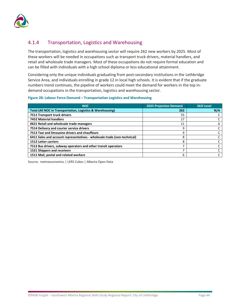![](_page_47_Picture_0.jpeg)

## <span id="page-47-0"></span>4.1.4 Transportation, Logistics and Warehousing

The transportation, logistics and warehousing sector will require 262 new workers by 2025. Most of these workers will be needed in occupations such as transport truck drivers, material handlers, and retail and wholesale trade managers. Most of these occupations do not require formal education and can be filled with individuals with a high school diploma or less educational attainment.

Considering only the unique individuals graduating from post-secondary institutions in the Lethbridge Service Area, and individuals enrolling in grade 12 in local high schools. It is evident that if the graduate numbers trend continues, the pipeline of workers could meet the demand for workers in the top indemand occupations in the transportation, logistics and warehousing sector.

#### **Figure 28: Labour Force Demand – Transportation Logistics and Warehousing**

| <b>NOC</b>                                                               | <b>2025 Projection Demand</b> | <b>Skill Level</b> |
|--------------------------------------------------------------------------|-------------------------------|--------------------|
| <b>Total (All NOC in Transportation, Logistics &amp; Warehousing)</b>    | 262                           | N/A                |
| 7511 Transport truck drivers                                             | 55                            |                    |
| <b>7452 Material handlers</b>                                            | 17                            |                    |
| 0621 Retail and wholesale trade managers                                 | 11                            | A                  |
| 7514 Delivery and courier service drivers                                | 9                             |                    |
| 7513 Taxi and limousine drivers and chauffeurs                           | 9                             |                    |
| 6411 Sales and account representatives - wholesale trade (non-technical) | 8                             |                    |
| <b>1512 Letter carriers</b>                                              | 8                             |                    |
| 7512 Bus drivers, subway operators and other transit operators           | 7                             |                    |
| 1521 Shippers and receivers                                              |                               |                    |
| 1511 Mail, postal and related workers                                    | 6                             |                    |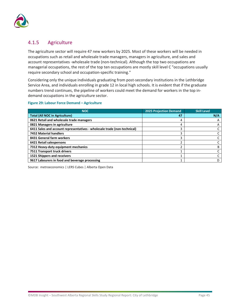![](_page_48_Picture_0.jpeg)

## <span id="page-48-0"></span>4.1.5 Agriculture

The agriculture sector will require 47 new workers by 2025. Most of these workers will be needed in occupations such as retail and wholesale trade managers, managers in agriculture, and sales and account representatives -wholesale trade (non-technical). Although the top two occupations are managerial occupations, the rest of the top ten occupations are mostly skill level C "occupations usually require secondary school and occupation-specific training."

Considering only the unique individuals graduating from post-secondary institutions in the Lethbridge Service Area, and individuals enrolling in grade 12 in local high schools. It is evident that if the graduate numbers trend continues, the pipeline of workers could meet the demand for workers in the top indemand occupations in the agriculture sector.

#### **Figure 29: Labour Force Demand – Agriculture**

| <b>NOC</b>                                                               | 2025 Projection Demand | <b>Skill Level</b> |
|--------------------------------------------------------------------------|------------------------|--------------------|
| <b>Total (All NOC in Agriculture)</b>                                    | 47                     | N/A                |
| 0621 Retail and wholesale trade managers                                 | 4                      | A                  |
| 0821 Managers in agriculture                                             | 4                      | A                  |
| 6411 Sales and account representatives - wholesale trade (non-technical) |                        |                    |
| <b>7452 Material handlers</b>                                            |                        |                    |
| 8431 General farm workers                                                |                        |                    |
| 6421 Retail salespersons                                                 |                        |                    |
| 7312 Heavy-duty equipment mechanics                                      |                        | B                  |
| 7511 Transport truck drivers                                             |                        |                    |
| 1521 Shippers and receivers                                              |                        |                    |
| 9617 Labourers in food and beverage processing                           |                        |                    |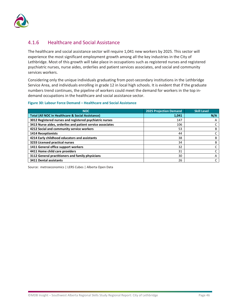![](_page_49_Picture_0.jpeg)

## <span id="page-49-0"></span>4.1.6 Healthcare and Social Assistance

The healthcare and social assistance sector will require 1,041 new workers by 2025. This sector will experience the most significant employment growth among all the key industries in the City of Lethbridge. Most of this growth will take place in occupations such as registered nurses and registered psychiatric nurses, nurse aides, orderlies and patient services associates, and social and community services workers.

Considering only the unique individuals graduating from post-secondary institutions in the Lethbridge Service Area, and individuals enrolling in grade 12 in local high schools. It is evident that if the graduate numbers trend continues, the pipeline of workers could meet the demand for workers in the top indemand occupations in the healthcare and social assistance sector.

#### **Figure 30: Labour Force Demand – Healthcare and Social Assistance**

| <b>NOC</b>                                                   | <b>2025 Projection Demand</b> | <b>Skill Level</b> |
|--------------------------------------------------------------|-------------------------------|--------------------|
| <b>Total (All NOC in Healthcare &amp; Social Assistance)</b> | 1,041                         | N/A                |
| 3012 Registered nurses and registered psychiatric nurses     | 147                           | A                  |
| 3413 Nurse aides, orderlies and patient service associates   | 106                           |                    |
| 4212 Social and community service workers                    | 53                            | в                  |
| <b>1414 Receptionists</b>                                    | 44                            |                    |
| 4214 Early childhood educators and assistants                | 38                            | в                  |
| 3233 Licensed practical nurses                               | 34                            | в                  |
| 1411 General office support workers                          | 32                            |                    |
| 4411 Home child care providers                               | 31                            |                    |
| 3112 General practitioners and family physicians             | 30                            | A                  |
| 3411 Dental assistants                                       | 26                            |                    |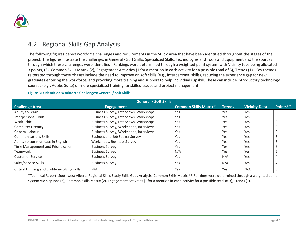![](_page_50_Picture_0.jpeg)

## 4.2 Regional Skills Gap Analysis

The following figures depict workforce challenges and requirements in the Study Area that have been identified throughout the stages of the project. The figures illustrate the challenges in General / Soft Skills, Specialized Skills, Technologies and Tools and Equipment and the sources through which these challenges were identified. Rankings were determined through a weighted point system with Vicinity Jobs being allocated 3 points, (3), Common Skills Matrix (2), Engagement Activities (1 for a mention in each activity for a possible total of 3), Trends (1). Key themes reiterated through these phases include the need to improve on soft skills (e.g., interpersonal skills), reducing the experience gap for new graduates entering the workforce, and providing more training and support to help individuals upskill. These can include introductory technology courses (e.g., Adobe Suite) or more specialized training for skilled trades and project management.

| <b>General / Soft Skills</b>                 |                                        |                              |               |                      |          |  |  |  |
|----------------------------------------------|----------------------------------------|------------------------------|---------------|----------------------|----------|--|--|--|
| <b>Challenge Area</b>                        | <b>Engagement</b>                      | <b>Common Skills Matrix*</b> | <b>Trends</b> | <b>Vicinity Data</b> | Points** |  |  |  |
| Ability to Learn                             | Business Survey, Interviews, Workshops | Yes                          | Yes           | Yes                  | 9        |  |  |  |
| Interpersonal Skills                         | Business Survey, Interviews, Workshops | Yes                          | Yes           | Yes                  | 9        |  |  |  |
| Work Ethic                                   | Business Survey, Interviews, Workshops | Yes                          | Yes           | Yes                  | 9        |  |  |  |
| <b>Computer Literacy</b>                     | Business Survey, Workshops, Interviews | Yes                          | Yes           | Yes                  | 9        |  |  |  |
| General Labour                               | Business Survey, Workshops, Interviews | Yes                          | Yes           | Yes                  | 9        |  |  |  |
| <b>Communications Skills</b>                 | <b>Business and Job Seeker Survey</b>  | Yes                          | Yes           | Yes                  | 8        |  |  |  |
| Ability to communicate in English            | Workshops, Business Survey             | Yes                          | Yes           | Yes                  | 8        |  |  |  |
| Time Management and Prioritization           | <b>Business Survey</b>                 | Yes                          | Yes           | Yes                  |          |  |  |  |
| Teamwork                                     | <b>Business Survey</b>                 | N/A                          | Yes           | Yes                  |          |  |  |  |
| <b>Customer Service</b>                      | <b>Business Survey</b>                 | Yes                          | N/A           | Yes                  | 4        |  |  |  |
| Sales/Service Skills                         | <b>Business Survey</b>                 | Yes                          | N/A           | Yes                  | 4        |  |  |  |
| Critical thinking and problem-solving skills | N/A                                    | Yes                          | Yes           | N/A                  | 3        |  |  |  |

#### <span id="page-50-0"></span>**Figure 31: Identified Workforce Challenges: General / Soft Skills**

\*Technical Report: Southwest Alberta Regional Skills Study Skills Gaps Analysis, Common Skills Matrix \*\* Rankings were determined through a weighted point system Vicinity Jobs (3), Common Skills Matrix (2), Engagement Activities (1 for a mention in each activity for a possible total of 3), Trends (1).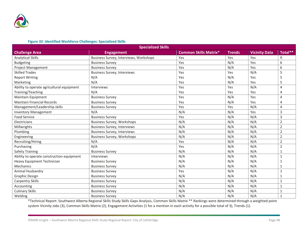![](_page_51_Picture_0.jpeg)

#### **Figure 32: Identified Workforce Challenges: Specialized Skills**

| <b>Specialized Skills</b>                 |                                        |                              |               |                      |                |  |  |  |  |
|-------------------------------------------|----------------------------------------|------------------------------|---------------|----------------------|----------------|--|--|--|--|
| <b>Challenge Area</b>                     | <b>Engagement</b>                      | <b>Common Skills Matrix*</b> | <b>Trends</b> | <b>Vicinity Data</b> | Total**        |  |  |  |  |
| <b>Analytical Skills</b>                  | Business Survey, Interviews, Workshops | Yes                          | Yes           | Yes                  | 9              |  |  |  |  |
| <b>Budgeting</b>                          | <b>Business Survey</b>                 | Yes                          | N/A           | Yes                  | 6              |  |  |  |  |
| Project Management                        | <b>Business Survey</b>                 | Yes                          | N/A           | Yes                  | 6              |  |  |  |  |
| <b>Skilled Trades</b>                     | <b>Business Survey, Interviews</b>     | Yes                          | Yes           | N/A                  | 5              |  |  |  |  |
| <b>Report Writing</b>                     | N/A                                    | Yes                          | N/A           | Yes                  | 5              |  |  |  |  |
| Marketing                                 | N/A                                    | Yes                          | N/A           | Yes                  | 5              |  |  |  |  |
| Ability to operate agricultural equipment | Interviews                             | Yes                          | Yes           | N/A                  | 4              |  |  |  |  |
| Training/Teaching                         | N/A                                    | Yes                          | Yes           | Yes                  | 4              |  |  |  |  |
| Maintain Equipment                        | <b>Business Survey</b>                 | Yes                          | N/A           | Yes                  | 4              |  |  |  |  |
| <b>Maintain Financial Records</b>         | <b>Business Survey</b>                 | Yes                          | N/A           | Yes                  | $\overline{4}$ |  |  |  |  |
| Management/Leadership skills              | <b>Business Survey</b>                 | Yes                          | Yes           | N/A                  | 4              |  |  |  |  |
| <b>Inventory Management</b>               | N/A                                    | N/A                          | N/A           | Yes                  | 3              |  |  |  |  |
| <b>Food Service</b>                       | <b>Business Survey</b>                 | Yes                          | N/A           | N/A                  | 3              |  |  |  |  |
| Electricians                              | <b>Business Survey, Workshops</b>      | N/A                          | N/A           | N/A                  | $\overline{2}$ |  |  |  |  |
| Millwrights                               | <b>Business Survey, Interviews</b>     | N/A                          | N/A           | N/A                  | $\overline{2}$ |  |  |  |  |
| Plumbing                                  | <b>Business Survey, Interviews</b>     | N/A                          | N/A           | N/A                  | $\overline{2}$ |  |  |  |  |
| Engineering                               | <b>Business Survey, Workshops</b>      | N/A                          | N/A           | N/A                  | $\overline{2}$ |  |  |  |  |
| Recruiting/Hiring                         | N/A                                    | Yes                          | N/A           | N/A                  | 2              |  |  |  |  |
| Purchasing                                | N/A                                    | Yes                          | N/A           | N/A                  | $\overline{2}$ |  |  |  |  |
| <b>Safety Training</b>                    | <b>Business Survey</b>                 | N/A                          | N/A           | N/A                  | 1              |  |  |  |  |
| Ability to operate construction equipment | Interviews                             | N/A                          | N/A           | N/A                  | $\mathbf{1}$   |  |  |  |  |
| Heavy Equipment Technician                | <b>Business Survey</b>                 | N/A                          | N/A           | N/A                  | $\mathbf{1}$   |  |  |  |  |
| Mechanics                                 | <b>Business Survey</b>                 | N/A                          | N/A           | N/A                  | 1              |  |  |  |  |
| Animal Husbandry                          | <b>Business Survey</b>                 | Yes                          | N/A           | N/A                  | 1              |  |  |  |  |
| <b>Graphic Design</b>                     | <b>Business Survey</b>                 | N/A                          | N/A           | N/A                  | 1              |  |  |  |  |
| <b>Carpentry Skills</b>                   | <b>Business Survey</b>                 | N/A                          | N/A           | N/A                  | $\mathbf{1}$   |  |  |  |  |
| Accounting                                | <b>Business Survey</b>                 | N/A                          | N/A           | N/A                  | 1              |  |  |  |  |
| <b>Culinary Skills</b>                    | <b>Business Survey</b>                 | N/A                          | N/A           | N/A                  | $\mathbf{1}$   |  |  |  |  |
| Welding                                   | <b>Business Survey</b>                 | N/A                          | N/A           | N/A                  | $\mathbf{1}$   |  |  |  |  |

\*Technical Report: Southwest Alberta Regional Skills Study Skills Gaps Analysis, Common Skills Matrix \*\* Rankings were determined through a weighted point system Vicinity Jobs (3), Common Skills Matrix (2), Engagement Activities (1 for a mention in each activity for a possible total of 3), Trends (1).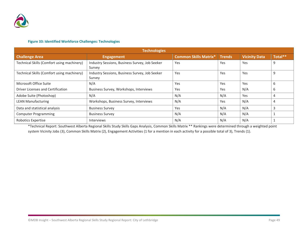![](_page_52_Picture_0.jpeg)

#### **Figure 33: Identified Workforce Challenges: Technologies**

| <b>Technologies</b>                        |                                                          |                              |               |                      |         |  |  |  |  |
|--------------------------------------------|----------------------------------------------------------|------------------------------|---------------|----------------------|---------|--|--|--|--|
| <b>Challenge Area</b>                      | <b>Engagement</b>                                        | <b>Common Skills Matrix*</b> | <b>Trends</b> | <b>Vicinity Data</b> | Total** |  |  |  |  |
| Technical Skills (Comfort using machinery) | Industry Sessions, Business Survey, Job Seeker<br>Survey | Yes                          | Yes           | Yes                  | 9       |  |  |  |  |
| Technical Skills (Comfort using machinery) | Industry Sessions, Business Survey, Job Seeker<br>Survey | Yes                          | Yes           | Yes                  | 9       |  |  |  |  |
| Microsoft Office Suite                     | N/A                                                      | Yes                          | Yes           | Yes                  | 6       |  |  |  |  |
| Driver Licenses and Certification          | Business Survey, Workshops, Interviews                   | Yes                          | Yes           | N/A                  | 6       |  |  |  |  |
| Adobe Suite (Photoshop)                    | N/A                                                      | N/A                          | N/A           | Yes                  | 4       |  |  |  |  |
| <b>LEAN Manufacturing</b>                  | Workshops, Business Survey, Interviews                   | N/A                          | Yes           | N/A                  | 4       |  |  |  |  |
| Data and statistical analysis              | <b>Business Survey</b>                                   | Yes                          | N/A           | N/A                  |         |  |  |  |  |
| <b>Computer Programming</b>                | <b>Business Survey</b>                                   | N/A                          | N/A           | N/A                  |         |  |  |  |  |
| Robotics Expertise                         | <b>Interviews</b>                                        | N/A                          | N/A           | N/A                  |         |  |  |  |  |

\*Technical Report: Southwest Alberta Regional Skills Study Skills Gaps Analysis, Common Skills Matrix \*\* Rankings were determined through a weighted point system Vicinity Jobs (3), Common Skills Matrix (2), Engagement Activities (1 for a mention in each activity for a possible total of 3), Trends (1).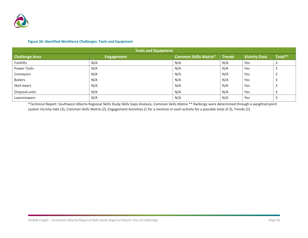![](_page_53_Picture_0.jpeg)

#### **Figure 34: Identified Workforce Challenges: Tools and Equipment**

| <b>Tools and Equipment</b> |                   |                              |               |                      |         |  |  |  |
|----------------------------|-------------------|------------------------------|---------------|----------------------|---------|--|--|--|
| <b>Challenge Area</b>      | <b>Engagement</b> | <b>Common Skills Matrix*</b> | <b>Trends</b> | <b>Vicinity Data</b> | Total** |  |  |  |
| Forklifts                  | N/A               | N/A                          | N/A           | Yes                  |         |  |  |  |
| Power Tools                | N/A               | N/A                          | N/A           | Yes                  |         |  |  |  |
| Conveyors                  | N/A               | N/A                          | N/A           | Yes                  |         |  |  |  |
| <b>Boilers</b>             | N/A               | N/A                          | N/A           | Yes                  |         |  |  |  |
| Skid steers                | N/A               | N/A                          | N/A           | Yes                  | В       |  |  |  |
| Disposal units             | N/A               | N/A                          | N/A           | Yes                  |         |  |  |  |
| Lawnmowers                 | N/A               | N/A                          | N/A           | Yes                  |         |  |  |  |

\*Technical Report: Southwest Alberta Regional Skills Study Skills Gaps Analysis, Common Skills Matrix \*\* Rankings were determined through a weighted point system Vicinity Jobs (3), Common Skills Matrix (2), Engagement Activities (1 for a mention in each activity for a possible total of 3), Trends (1)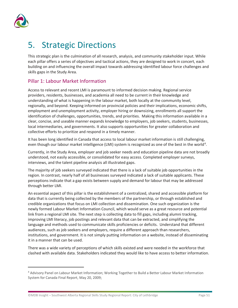![](_page_54_Picture_0.jpeg)

# <span id="page-54-0"></span>5. Strategic Directions

This strategic plan is the culmination of all research, analysis, and community stakeholder input. While each pillar offers a series of objectives and tactical actions, they are designed to work in concert, each building on and influencing the overall impact towards addressing identified labour force challenges and skills gaps in the Study Area.

## Pillar 1: Labour Market Information

Access to relevant and recent LMI is paramount to informed decision making. Regional service providers, residents, businesses, and academia all need to be current in their knowledge and understanding of what is happening in the labour market, both locally at the community level, regionally, and beyond. Keeping informed on provincial policies and their implications, economic shifts, employment and unemployment activity, employer hiring or downsizing, enrollments all support the identification of challenges, opportunities, trends, and priorities. Making this information available in a clear, concise, and useable manner expands knowledge to employers, job seekers, students, businesses, local intermediaries, and governments. It also supports opportunities for greater collaboration and collective efforts to prioritize and respond in a timely manner.

It has been long identified in Canada that access to local labour market information is still challenging, even though our labour market intelligence (LMI) system is recognized as one of the best in the world<sup>[4](#page-54-1)</sup>.

Currently, in the Study Area, employer and job seeker needs and education pipeline data are not broadly understood, not easily accessible, or consolidated for easy access. Completed employer surveys, interviews, and the talent pipeline analysis all illustrated gaps.

The majority of job seekers surveyed indicated that there is a lack of suitable job opportunities in the region. In contrast, nearly half of all businesses surveyed indicated a lack of suitable applicants. These perceptions indicate that a gap exists between supply and demand for labour that may be addressed through better LMI.

An essential aspect of this pillar is the establishment of a centralized, shared and accessible platform for data that is currently being collected by the members of the partnership, or through established and credible organizations that focus on LMI collection and dissemination. One such organization is the newly formed Labour Market Information Council, which would serve as a great resource and potential link from a regional LMI site. The next step is collecting data to fill gaps, including alumni tracking, improving LMI literacy, job postings and relevant data that can be extracted, and simplifying the language and methods used to communicate skills proficiencies or deficits. Understand that different audiences, such as job seekers and employers, require a different approach than researchers, institutions, and government. It is not simply putting information on a website, instead of disseminating it in a manner that can be used.

There was a wide variety of perceptions of which skills existed and were needed in the workforce that clashed with available data. Stakeholders indicated they would like to have access to better information.

<span id="page-54-1"></span><sup>4</sup> Advisory Panel on Labour Market Information; Working Together to Build a Better Labour Market Information System for Canada Final Report, May 20, 2009;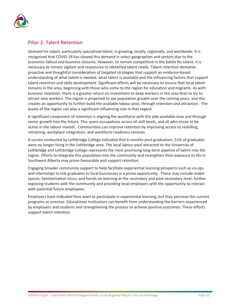![](_page_55_Picture_0.jpeg)

### Pillar 2: Talent Retention

Demand for talent, particularly specialized talent, is growing, locally, regionally, and worldwide. It is recognized that COVID 19 has slowed this demand in select geographies and sectors due to the economic fallout and business closures. However, to remain competitive in the battle for talent, it is necessary to remain vigilant and responsive to identified talent needs. Talent retention demands proactive and thoughtful consideration of targeted strategies that support an evidence-based understanding of what talent is needed, what talent is available and the influencing factors that support talent retention and skills development. Significant efforts will be necessary to ensure that local talent remains in the area, beginning with those who come to the region for education and migrants. As with business retention, there is a greater return on investment to keep workers in the area than to try to attract new workers. The region is projected to see population growth over the coming years, and this creates an opportunity to further build the available labour pool, through retention and attraction. The assets of the region can play a significant influencing role in that regard.

A significant component of retention is aligning the workforce with the jobs available now and through sector growth into the future. This spans occupations across all skill levels, and all who chose to be active in the labour market. Communities can improve retention by improving access to reskilling, retraining, workplace integration, and workforce readiness services.

A survey conducted by Lethbridge College indicated that 6-months post-graduation, 51% of graduates were no longer living in the Lethbridge area. The local labour pool attracted to the University of Lethbridge and Lethbridge College represents the most promising long-term pipeline of talent into the region. Efforts to integrate this population into the community and strengthen their exposure to life in Southwest Alberta may prove favourable and support retention.

Engaging broader community support to help facilitate experiential learning prospects such as co-ops and internships to link graduates to local businesses is a prime opportunity. These may include maker spaces, familiarization tours, and hands-on learning at the secondary and post-secondary level, further exposing students with the community and providing local employers with the opportunity to interact with potential future employees.

Employers have indicated they want to participate in experiential learning, but they perceive the current programs as onerous. Educational institutions can benefit from understanding the barriers experienced by employers and students and strengthening the process to achieve positive outcomes. These efforts support talent retention.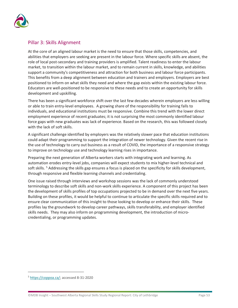![](_page_56_Picture_0.jpeg)

### Pillar 3: Skills Alignment

At the core of an aligned labour market is the need to ensure that those skills, competencies, and abilities that employers are seeking are present in the labour force. Where specific skills are absent, the role of local post-secondary and training providers is amplified. Talent readiness to enter the labour market, to transition within the labour market, and to remain current in skills, knowledge, and abilities support a community's competitiveness and attraction for both business and labour force participants. This benefits from a deep alignment between education and trainers and employers. Employers are best positioned to inform on what skills they need and where the gap exists within the existing labour force. Educators are well-positioned to be responsive to these needs and to create an opportunity for skills development and upskilling.

There has been a significant workforce shift over the last few decades wherein employers are less willing or able to train entry-level employees. A growing share of the responsibility for training falls to individuals, and educational institutions must be responsive. Combine this trend with the lower direct employment experience of recent graduates; it is not surprising the most commonly identified labour force gaps with new graduates was lack of experience. Based on the research, this was followed closely with the lack of soft skills.

A significant challenge identified by employers was the relatively slower pace that education institutions could adapt their programming to support the integration of newer technology. Given the recent rise in the use of technology to carry out business as a result of COVID, the importance of a responsive strategy to improve on technology use and technology learning rises in importance.

Preparing the next generation of Alberta workers starts with integrating work and learning. As automation erodes entry-level jobs, companies will expect students to mix higher-level technical and soft skills. <sup>[5](#page-56-0)</sup> Addressing the skills gap ensures a focus is placed on the specificity for skills development, through responsive and flexible learning channels and credentialing.

One issue raised through interviews and workshop sessions was the lack of commonly understood terminology to describe soft skills and non-work skills experience. A component of this project has been the development of skills profiles of top occupations projected to be in demand over the next five years. Building on these profiles, it would be helpful to continue to articulate the specific skills required and to ensure clear communication of this insight to those looking to develop or enhance their skills. These profiles lay the groundwork to develop career pathways, skills transferability, and employer identified skills needs. They may also inform on programming development, the introduction of microcredentialing, or programming updates.

<span id="page-56-0"></span><sup>5</sup> [https://coppoa.ca/;](https://coppoa.ca/) accessed 8-31-2020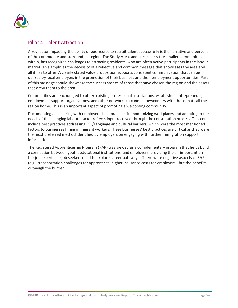![](_page_57_Picture_0.jpeg)

### Pillar 4: Talent Attraction

A key factor impacting the ability of businesses to recruit talent successfully is the narrative and persona of the community and surrounding region. The Study Area, and particularly the smaller communities within, has recognized challenges to attracting residents, who are often active participants in the labour market. This amplifies the necessity of a reflective and common message that showcases the area and all it has to offer. A clearly stated value proposition supports consistent communication that can be utilized by local employers in the promotion of their business and their employment opportunities. Part of this message should showcase the success stories of those that have chosen the region and the assets that drew them to the area.

Communities are encouraged to utilize existing professional associations, established entrepreneurs, employment support organizations, and other networks to connect newcomers with those that call the region home. This is an important aspect of promoting a welcoming community.

Documenting and sharing with employers' best practices in modernizing workplaces and adapting to the needs of the changing labour market reflects input received through the consultation process. This could include best practices addressing ESL/Language and cultural barriers, which were the most mentioned factors to businesses hiring immigrant workers. These businesses' best practices are critical as they were the most preferred method identified by employers on engaging with further immigration support information.

The Registered Apprenticeship Program (RAP) was viewed as a complementary program that helps build a connection between youth, educational institutions, and employers, providing the all-important onthe-job experience job seekers need to explore career pathways. There were negative aspects of RAP (e.g., transportation challenges for apprentices, higher insurance costs for employers), but the benefits outweigh the burden.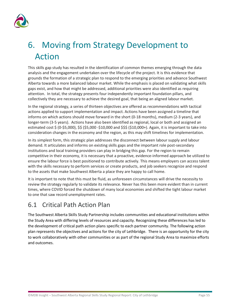![](_page_58_Picture_0.jpeg)

# <span id="page-58-0"></span>6. Moving from Strategy Development to Action

This skills gap study has resulted in the identification of common themes emerging through the data analysis and the engagement undertaken over the lifecycle of the project. It is this evidence that grounds the formation of a strategic plan to respond to the emerging priorities and advance Southwest Alberta towards a more balanced labour market. While the emphasis is placed on validating what skills gaps exist, and how that might be addressed, additional priorities were also identified as requiring attention. In total, the strategy presents four independently important foundation pillars, and collectively they are necessary to achieve the desired goal, that being an aligned labour market.

In the regional strategy, a series of thirteen objectives are offered as recommendations with tactical actions applied to support implementation and impact. Actions have been assigned a timeline that informs on which actions should move forward in the short (0-18 months), medium (2-3 years), and longer-term (3-5 years). Actions have also been identified as regional, local or both and assigned an estimated cost \$ (0-\$5,000), \$\$ (\$5,000 -\$10,000 and \$\$\$ (\$10,000+). Again, it is important to take into consideration changes in the economy and the region, as this may shift timelines for implementation.

In its simplest form, this strategic plan addresses the disconnect between labour supply and labour demand. It articulates and informs on existing skills gaps and the important role post-secondary institutions and local training providers can play in bridging this gap. For the region to remain competitive in their economy, it is necessary that a proactive, evidence-informed approach be utilized to ensure the labour force is best positioned to contribute actively. This means employers can access talent with the skills necessary to perform services or create products, and job seekers recognize and respond to the assets that make Southwest Alberta a place they are happy to call home.

It is important to note that this must be fluid, as unforeseen circumstances will drive the necessity to review the strategy regularly to validate its relevance. Never has this been more evident than in current times, where COVID forced the shutdown of many local economies and shifted the tight labour market to one that saw record unemployment rates.

## <span id="page-58-1"></span>6.1 Critical Path Action Plan

The Southwest Alberta Skills Study Partnership includes communities and educational institutions within the Study Area with differing levels of resources and capacity. Recognizing these differences has led to the development of critical path action plans specific to each partner community. The following action plan represents the objectives and actions for the city of Lethbridge. There is an opportunity for the city to work collaboratively with other communities or as part of the regional Study Area to maximize efforts and outcomes.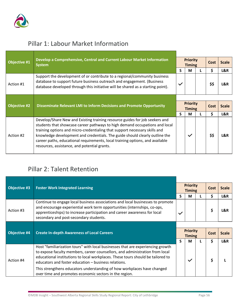![](_page_59_Picture_0.jpeg)

# Pillar 1: Labour Market Information

| <b>Objective #1</b> | Develop a Comprehensive, Central and Current Labour Market Information<br><b>System</b>                                                                                                                                                | <b>Priority</b><br><b>Timing</b> |   |  | Cost | <b>Scale</b> |
|---------------------|----------------------------------------------------------------------------------------------------------------------------------------------------------------------------------------------------------------------------------------|----------------------------------|---|--|------|--------------|
|                     |                                                                                                                                                                                                                                        | S                                | М |  | \$   | L&R          |
| Action #1           | Support the development of or contribute to a regional/community business<br>database to support future business outreach and engagement. (Business<br>database developed through this initiative will be shared as a starting point). | $\checkmark$                     |   |  | \$\$ | L&R          |
|                     |                                                                                                                                                                                                                                        |                                  |   |  |      |              |
| <b>Objective #2</b> | <b>Disseminate Relevant LMI to Inform Decisions and Promote Opportunity</b>                                                                                                                                                            | <b>Priority</b><br><b>Timing</b> |   |  |      |              |
|                     |                                                                                                                                                                                                                                        |                                  |   |  | Cost | <b>Scale</b> |
|                     |                                                                                                                                                                                                                                        | S.                               | М |  | \$   | L&R          |

# <span id="page-59-0"></span>Pillar 2: Talent Retention

| <b>Objective #3</b> | <b>Foster Work Integrated Learning</b>                                                                                                                                                                                                                                                                                                                                                |              | <b>Priority</b><br><b>Timing</b> |  | Cost | <b>Scale</b> |
|---------------------|---------------------------------------------------------------------------------------------------------------------------------------------------------------------------------------------------------------------------------------------------------------------------------------------------------------------------------------------------------------------------------------|--------------|----------------------------------|--|------|--------------|
|                     |                                                                                                                                                                                                                                                                                                                                                                                       | S            | м                                |  | \$   | L&R          |
| Action #3           | Continue to engage local business associations and local businesses to promote<br>and encourage experiential work term opportunities (internships, co-ops,<br>apprenticeships) to increase participation and career awareness for local<br>secondary and post-secondary students.                                                                                                     | $\checkmark$ |                                  |  | \$   | L&R          |
|                     |                                                                                                                                                                                                                                                                                                                                                                                       |              |                                  |  |      |              |
| <b>Objective #4</b> | <b>Create In-depth Awareness of Local Careers</b>                                                                                                                                                                                                                                                                                                                                     |              | <b>Priority</b><br><b>Timing</b> |  |      |              |
|                     |                                                                                                                                                                                                                                                                                                                                                                                       |              |                                  |  | Cost | <b>Scale</b> |
|                     |                                                                                                                                                                                                                                                                                                                                                                                       | S            | М                                |  | \$   | L&R          |
| Action #4           | Host "familiarization tours" with local businesses that are experiencing growth<br>to expose faculty members, career counsellors, and administration from local<br>educational institutions to local workplaces. These tours should be tailored to<br>educators and foster education - business relations.<br>This strengthens educators understanding of how workplaces have changed |              | $\checkmark$                     |  | \$   |              |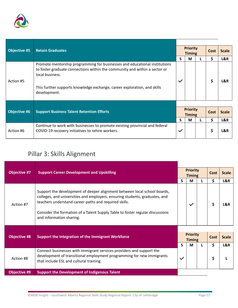![](_page_60_Picture_0.jpeg)

| <b>Objective #5</b> | <b>Retain Graduates</b>                                                                                                                                                                                                                                                 |                                  | <b>Priority</b><br><b>Timing</b> |  |      | <b>Scale</b> |
|---------------------|-------------------------------------------------------------------------------------------------------------------------------------------------------------------------------------------------------------------------------------------------------------------------|----------------------------------|----------------------------------|--|------|--------------|
|                     |                                                                                                                                                                                                                                                                         | S                                | M                                |  | \$   | L&R          |
| Action #5           | Promote mentorship programming for businesses and educational institutions<br>to foster graduate connections within the community and within a sector or<br>local business.<br>This further supports knowledge exchange, career exploration, and skills<br>development. | $\checkmark$                     |                                  |  | \$   | L&R          |
|                     |                                                                                                                                                                                                                                                                         |                                  |                                  |  |      |              |
| <b>Objective #6</b> | <b>Support Business Talent Retention Efforts</b>                                                                                                                                                                                                                        | <b>Priority</b><br><b>Timing</b> |                                  |  | Cost | <b>Scale</b> |
|                     |                                                                                                                                                                                                                                                                         | S                                | M                                |  | \$   | L&R          |
| Action #6           | Continue to work with businesses to promote existing provincial and federal<br>COVID-19 recovery initiatives to rehire workers.                                                                                                                                         | $\checkmark$                     |                                  |  | \$   | L&R          |

# Pillar 3: Skills Alignment

| <b>Objective #7</b> | <b>Support Career Development and Upskilling</b>                                                                                                                                                                                                                                                                              | <b>Priority</b><br><b>Timing</b> |                                  |  | Cost | <b>Scale</b> |
|---------------------|-------------------------------------------------------------------------------------------------------------------------------------------------------------------------------------------------------------------------------------------------------------------------------------------------------------------------------|----------------------------------|----------------------------------|--|------|--------------|
|                     |                                                                                                                                                                                                                                                                                                                               | S                                | М                                |  | \$   | L&R          |
| Action #7           | Support the development of deeper alignment between local school boards,<br>colleges, and universities and employers, ensuring students, graduates, and<br>teachers understand career paths and required skills.<br>Consider the formation of a Talent Supply Table to foster regular discussions<br>and information sharing. |                                  | $\checkmark$                     |  | \$   | L&R          |
|                     |                                                                                                                                                                                                                                                                                                                               |                                  |                                  |  |      |              |
| <b>Objective #8</b> | Support the Integration of the Immigrant Workforce                                                                                                                                                                                                                                                                            |                                  | <b>Priority</b><br><b>Timing</b> |  | Cost | <b>Scale</b> |
|                     |                                                                                                                                                                                                                                                                                                                               | S                                | M                                |  | \$   | L&R          |
| Action #8           | Connect businesses with immigrant services providers and support the<br>development of transitional employment programming for new immigrants<br>that include ESL and cultural training.                                                                                                                                      |                                  |                                  |  | \$   |              |
| <b>Objective #9</b> | <b>Support the Development of Indigenous Talent</b>                                                                                                                                                                                                                                                                           |                                  |                                  |  |      |              |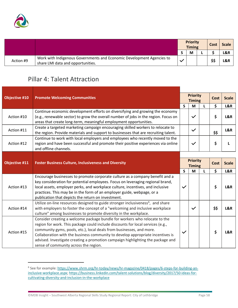![](_page_61_Picture_0.jpeg)

|           |                                                                                                            | <b>Priority</b><br><b>Timing</b> |   |  | Cost |     |  |  | Scale |
|-----------|------------------------------------------------------------------------------------------------------------|----------------------------------|---|--|------|-----|--|--|-------|
|           |                                                                                                            |                                  | M |  |      | L&R |  |  |       |
| Action #9 | Work with Indigenous Governments and Economic Development Agencies to<br>share LMI data and opportunities. |                                  |   |  | \$\$ | L&R |  |  |       |

# Pillar 4: Talent Attraction

| <b>Objective #10</b> | <b>Promote Welcoming Communities</b>                                                                                                                                                                                                                                                                                                                                                                                                                |              | <b>Priority</b><br><b>Timing</b> |              | <b>Cost</b> | <b>Scale</b> |
|----------------------|-----------------------------------------------------------------------------------------------------------------------------------------------------------------------------------------------------------------------------------------------------------------------------------------------------------------------------------------------------------------------------------------------------------------------------------------------------|--------------|----------------------------------|--------------|-------------|--------------|
|                      |                                                                                                                                                                                                                                                                                                                                                                                                                                                     | $\mathsf{s}$ | M                                | L            | \$          | L&R          |
| Action #10           | Continue economic development efforts on diversifying and growing the economy<br>(e.g., renewable sector) to grow the overall number of jobs in the region. Focus on<br>areas that create long-term, meaningful employment opportunities.                                                                                                                                                                                                           |              | $\checkmark$                     |              | \$          | L&R          |
| Action #11           | Create a targeted marketing campaign encouraging skilled workers to relocate to<br>the region. Provide materials and support to businesses that are recruiting talent.                                                                                                                                                                                                                                                                              |              | $\checkmark$                     |              | \$\$        | L&R          |
| Action #12           | Continue to work with local employers and employees who recently moved to the<br>region and have been successful and promote their positive experiences via online<br>and offline channels.                                                                                                                                                                                                                                                         |              | $\checkmark$                     |              | \$          | L            |
|                      |                                                                                                                                                                                                                                                                                                                                                                                                                                                     |              |                                  |              |             |              |
| <b>Objective #11</b> | <b>Foster Business Culture, Inclusiveness and Diversity</b>                                                                                                                                                                                                                                                                                                                                                                                         |              | <b>Priority</b><br><b>Timing</b> |              | <b>Cost</b> | <b>Scale</b> |
|                      |                                                                                                                                                                                                                                                                                                                                                                                                                                                     | $\mathsf{S}$ | M                                | $\mathbf{L}$ | \$          | L&R          |
| Action #13           | Encourage businesses to promote corporate culture as a company benefit and a<br>key consideration for potential employees. Focus on leveraging regional brand,<br>local assets, employer perks, and workplace culture, incentives, and inclusive<br>practices. This may be in the form of an employer guide, webpage, or a<br>publication that depicts the return on investment.                                                                    | $\checkmark$ |                                  |              | \$          | L&R          |
| Action #14           | Utilize on-line resources designed to guide stronger inclusiveness <sup>6</sup> , and share<br>with employers to foster the concept of a "welcoming and inclusive workplace<br>culture" among businesses to promote diversity in the workplace.                                                                                                                                                                                                     |              | $\checkmark$                     |              | \$\$        | L&R          |
| Action #15           | Consider creating a welcome package bundle for workers who relocate to the<br>region for work. This package could include discounts for local services (e.g.,<br>community gyms, pools, etc.), local deals from businesses, and more.<br>Collaboration with the business community to develop appropriate incentives is<br>advised. Investigate creating a promotion campaign highlighting the package and<br>sense of community across the region. | $\checkmark$ |                                  |              | \$          | L&R          |

<span id="page-61-0"></span><sup>&</sup>lt;sup>6</sup> See for example: [https://www.shrm.org/hr-today/news/hr-magazine/0418/pages/6-steps-for-building-an](https://www.shrm.org/hr-today/news/hr-magazine/0418/pages/6-steps-for-building-an-inclusive-workplace.aspx)[inclusive-workplace.aspx;](https://www.shrm.org/hr-today/news/hr-magazine/0418/pages/6-steps-for-building-an-inclusive-workplace.aspx) [https://business.linkedin.com/talent-solutions/blog/diversity/2017/50-ideas-for](https://business.linkedin.com/talent-solutions/blog/diversity/2017/50-ideas-for-cultivating-diversity-and-inclusion-in-the-workplace)[cultivating-diversity-and-inclusion-in-the-workplace](https://business.linkedin.com/talent-solutions/blog/diversity/2017/50-ideas-for-cultivating-diversity-and-inclusion-in-the-workplace)

<sup>©</sup>MDB Insight – Southwest Alberta Regional Skills Study Regional Report: City of Lethbridge Page 58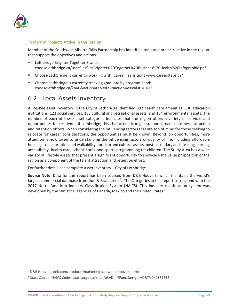![](_page_62_Picture_0.jpeg)

#### Tools and Projects Active in the Region

Member of the Southwest Alberta Skills Partnership has identified tools and projects active in the region that support the objectives and actions.

- Lethbridge Brighter Together Brand: chooselethbridge.ca/userfile/file/Brighter%20Together%20Business%20Health%20Infographic.pdf
- Choose Lethbridge is currently working with: Career Transitions www.careersteps.ca/
- Choose Lethbridge is currently tracking graduate by program band: chooselethbridge.ca/?p=0&action=table&subaction=view&ID=1613

## <span id="page-62-0"></span>6.2 Local Assets Inventory

A lifestyle asset inventory in the City of Lethbridge identified 392 health care amenities, 136 education institutions, 123 social services, 133 cultural and recreational assets, and 134 environmental assets. The number of each of these asset categories indicates that the region offers a variety of services and opportunities for residents of Lethbridge; this characteristic might support broader business attraction and retention efforts. When considering the influencing factors that are top of mind for those seeking to relocate for career considerations, the opportunities must be known. Beyond job opportunities, more attention is now given to understanding the influencing factors of quality of life, including affordable housing, transportation and walkability, tourism and cultural assets, post-secondary and life-long learning accessibility, health care, school, social and sports programming for children. The Study Area has a wide variety of lifestyle assets that present a significant opportunity to showcase the value proposition of the region as a component of the talent attraction and retention effort.

For further detail, see complete Asset Inventory – City of Lethbridge.

**Source Note:** Data for this report has been sourced from D&B Hoovers, which maintains the world's largest commercial database from Dun & Bradstreet<sup>[7](#page-62-1)</sup>. The Categories in this report correspond with the 2017 North American Industry Classification System (NAICS). This industry classification system was developed by the statistical agencies of Canada, Mexico and the United States<sup>[8](#page-62-2)</sup>.

<span id="page-62-1"></span><sup>7</sup> D&B Hoovers, dnb.com/products/marketing-sales/dnb-hoovers.html

<span id="page-62-2"></span><sup>8</sup> Stats Canada NAICS Codes, statcan.gc.ca/imdb/p3VD.pl?Function=getVD&TVD=1181553